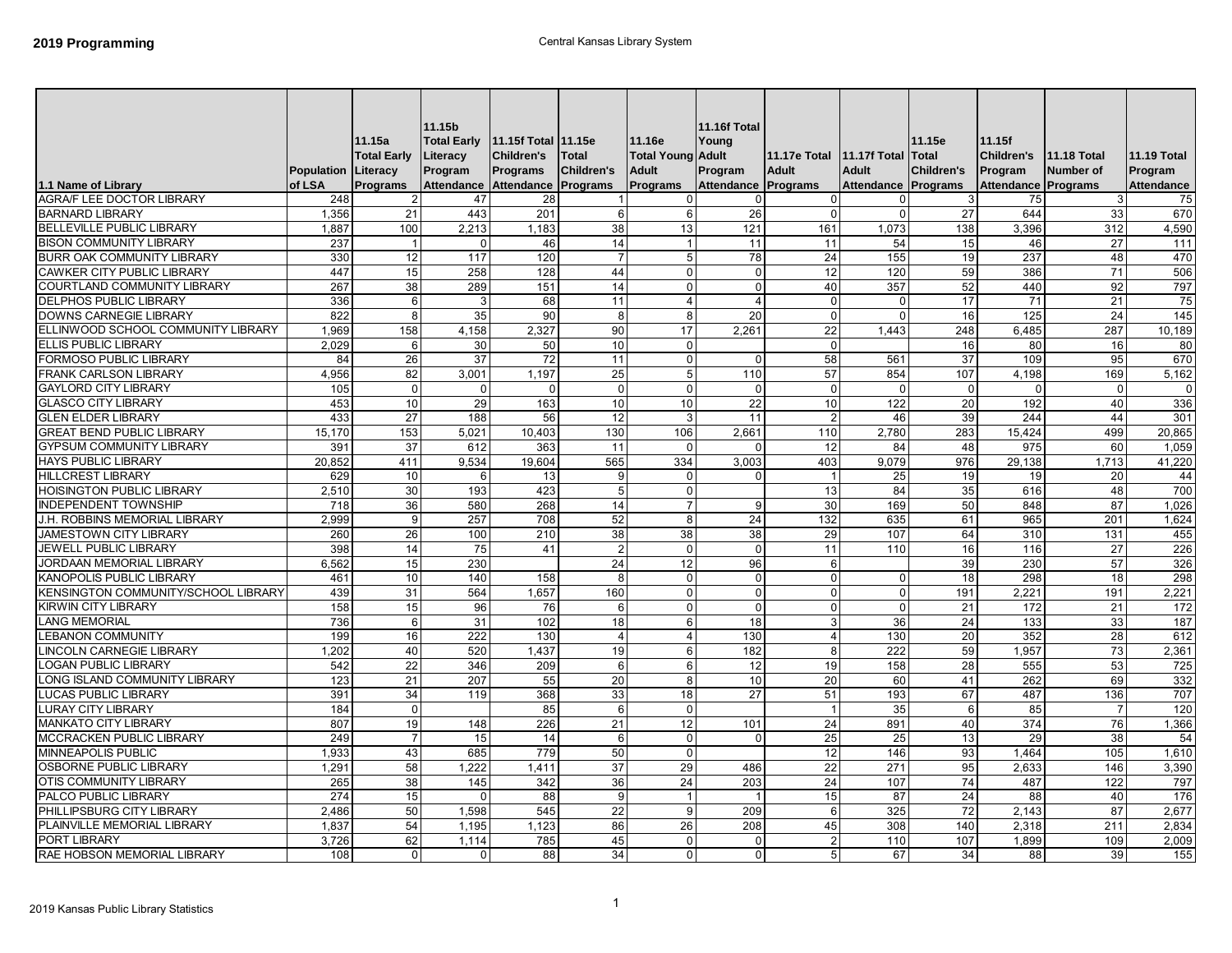| 1.1 Name of Library                                        | <b>Population Literacy</b><br>of LSA | 11.15a<br><b>Total Early</b><br>Programs | 11.15b<br><b>Total Early</b><br>Literacy<br>Program<br>Attendance Attendance | <b>Children's</b><br>Programs | <b>Total</b><br><b>Children's</b><br>Programs | 11.16e<br><b>Total Young Adult</b><br><b>Adult</b><br>Programs | 11.16f Total<br>Youna<br>Program<br>Attendance Programs | 11.17e Total 11.17f Total<br><b>Adult</b> | <b>Adult</b><br>Attendance Programs | 11.15e<br>Total<br><b>Children's</b> | 11.15f<br><b>Children's</b><br>Program<br><b>Attendance Programs</b> | <b>11.18 Total</b><br>Number of | <b>11.19 Total</b><br>Program<br><b>Attendance</b> |
|------------------------------------------------------------|--------------------------------------|------------------------------------------|------------------------------------------------------------------------------|-------------------------------|-----------------------------------------------|----------------------------------------------------------------|---------------------------------------------------------|-------------------------------------------|-------------------------------------|--------------------------------------|----------------------------------------------------------------------|---------------------------------|----------------------------------------------------|
| AGRA/F LEE DOCTOR LIBRARY                                  | 248                                  | $\overline{2}$                           | 47                                                                           | 28                            |                                               | $\mathbf 0$                                                    | 0                                                       | $\overline{0}$                            | $\Omega$                            | 3                                    | 75                                                                   | $\mathbf{3}$                    | 75                                                 |
| <b>BARNARD LIBRARY</b>                                     | 1,356                                | 21                                       | 443                                                                          | 201                           | 6                                             | 6                                                              | 26                                                      | $\Omega$                                  | $\Omega$                            | 27                                   | 644                                                                  | 33                              | 670                                                |
| <b>BELLEVILLE PUBLIC LIBRARY</b>                           | 1,887                                | 100                                      | 2,213                                                                        | 1,183                         | 38                                            | 13                                                             | 121                                                     | 161                                       | 1,073                               | 138                                  | 3,396                                                                | 312                             | 4,590                                              |
| <b>BISON COMMUNITY LIBRARY</b>                             | 237                                  | $\overline{1}$                           |                                                                              | 46                            | 14                                            | $\overline{1}$                                                 | 11                                                      | 11                                        | 54                                  | 15                                   | 46                                                                   | 27                              | 111                                                |
| BURR OAK COMMUNITY LIBRARY                                 | 330                                  | 12                                       | 117                                                                          | 120                           | $\overline{7}$                                | 5                                                              | 78                                                      | 24                                        | 155                                 | 19                                   | 237                                                                  | 48                              | 470                                                |
| <b>CAWKER CITY PUBLIC LIBRARY</b>                          | 447                                  | 15                                       | 258                                                                          | 128                           | 44                                            | $\mathbf 0$                                                    | $\mathbf 0$                                             | 12                                        | 120                                 | 59                                   | 386                                                                  | 71                              | 506                                                |
| <b>COURTLAND COMMUNITY LIBRARY</b>                         | 267                                  | 38                                       | 289                                                                          | 151                           | 14                                            | $\mathbf 0$                                                    | $\mathbf 0$                                             | 40                                        | 357                                 | 52                                   | 440                                                                  | 92                              | 797                                                |
| <b>DELPHOS PUBLIC LIBRARY</b>                              | 336                                  | $6 \mid$                                 | 3                                                                            | 68                            | 11                                            | $\overline{4}$                                                 | $\overline{4}$                                          | $\overline{0}$                            | $\Omega$                            | 17                                   | 71                                                                   | 21                              | 75                                                 |
| <b>DOWNS CARNEGIE LIBRARY</b>                              | 822                                  | 8                                        | 35                                                                           | 90                            | 8                                             | $\overline{8}$                                                 | $\overline{20}$                                         | $\Omega$                                  | $\Omega$                            | 16                                   | 125                                                                  | 24                              | 145                                                |
| ELLINWOOD SCHOOL COMMUNITY LIBRARY                         | 1.969                                | 158                                      | 4,158                                                                        | 2,327                         | 90                                            | 17                                                             | 2,261                                                   | 22                                        | 1.443                               | 248                                  | 6.485                                                                | 287                             | 10,189                                             |
| ELLIS PUBLIC LIBRARY                                       | 2.029                                | 6                                        | 30                                                                           | 50                            | 10                                            | $\mathbf 0$                                                    |                                                         | $\overline{0}$                            |                                     | 16                                   | 80                                                                   | 16                              | 80                                                 |
| FORMOSO PUBLIC LIBRARY                                     | 84                                   | 26                                       | 37                                                                           | 72                            | 11                                            | $\mathbf 0$                                                    | $\Omega$                                                | 58                                        | 561                                 | 37                                   | 109                                                                  | 95                              | 670                                                |
| FRANK CARLSON LIBRARY                                      | 4,956                                | 82                                       | 3,001                                                                        | 1,197                         | 25                                            | 5                                                              | 110                                                     | 57                                        | 854                                 | 107                                  | 4,198                                                                | 169                             | 5,162                                              |
| <b>GAYLORD CITY LIBRARY</b>                                | 105                                  | $\Omega$                                 | 0                                                                            | $\Omega$                      | $\mathbf 0$                                   | $\mathbf 0$                                                    | $\mathbf 0$                                             | $\mathbf 0$                               | $\Omega$                            | $\mathbf 0$                          | $\Omega$                                                             | $\Omega$                        | 0                                                  |
| <b>GLASCO CITY LIBRARY</b>                                 | 453                                  | 10 <sup>1</sup>                          | 29                                                                           | 163                           | 10                                            | 10                                                             | 22                                                      | 10                                        | 122                                 | 20                                   | 192                                                                  | 40                              | 336                                                |
| <b>GLEN ELDER LIBRARY</b>                                  | 433                                  | 27                                       | 188                                                                          | 56                            | 12                                            | 3                                                              | 11                                                      | $\overline{2}$                            | 46                                  | 39                                   | 244                                                                  | 44                              | 301                                                |
| <b>GREAT BEND PUBLIC LIBRARY</b>                           | 15,170                               | 153                                      | 5,021                                                                        | 10,403                        | 130                                           | 106                                                            | 2,661                                                   | 110                                       | 2,780                               | 283                                  | 15,424                                                               | 499                             | 20,865                                             |
| <b>GYPSUM COMMUNITY LIBRARY</b>                            | 391                                  | 37                                       | 612                                                                          | 363                           | 11                                            | $\mathbf 0$                                                    | $\Omega$                                                | 12                                        | 84                                  | 48                                   | 975                                                                  | 60                              | 1,059                                              |
| <b>HAYS PUBLIC LIBRARY</b>                                 | 20,852                               | 411                                      | 9,534                                                                        | 19,604                        | 565                                           | 334                                                            | 3,003                                                   | 403                                       | 9,079                               | 976                                  | 29,138                                                               | 1,713                           | 41,220                                             |
| <b>HILLCREST LIBRARY</b>                                   | 629                                  | 10                                       | 6                                                                            | 13                            | 9                                             | $\mathbf 0$                                                    | $\mathbf 0$                                             | $\overline{1}$                            | 25                                  | 19                                   | 19                                                                   | 20                              | 44                                                 |
| <b>HOISINGTON PUBLIC LIBRARY</b>                           | 2,510                                | 30                                       | 193                                                                          | 423                           | 5                                             | $\mathsf 0$                                                    |                                                         | 13                                        | 84                                  | 35                                   | 616                                                                  | 48                              | 700                                                |
| <b>INDEPENDENT TOWNSHIP</b>                                | 718                                  | $\overline{36}$                          | 580                                                                          | 268                           | 14                                            | $\overline{7}$                                                 | 9                                                       | 30                                        | 169                                 | 50                                   | 848                                                                  | 87                              | 1.026                                              |
| J.H. ROBBINS MEMORIAL LIBRARY                              | 2,999                                | 9                                        | 257                                                                          | 708                           | 52                                            | 8                                                              | 24                                                      | 132                                       | 635                                 | 61                                   | 965                                                                  | 201                             | 1,624                                              |
| JAMESTOWN CITY LIBRARY                                     | 260                                  | 26                                       | 100                                                                          | 210                           | 38                                            | 38                                                             | 38                                                      | 29                                        | 107                                 | 64                                   | 310                                                                  | 131                             | 455                                                |
| JEWELL PUBLIC LIBRARY                                      | 398                                  | 14                                       | 75                                                                           | 41                            | $\overline{2}$                                | $\mathbf 0$                                                    | $\mathsf 0$                                             | 11                                        | 110                                 | 16                                   | 116                                                                  | 27                              | 226                                                |
| <b>JORDAAN MEMORIAL LIBRARY</b>                            | 6.562                                | 15                                       | 230                                                                          |                               | 24                                            | 12                                                             | 96                                                      | $6 \mid$                                  |                                     | 39                                   | 230                                                                  | 57                              | 326                                                |
| <b>KANOPOLIS PUBLIC LIBRARY</b>                            | 461                                  | 10                                       | 140                                                                          | 158                           | 8                                             | $\mathbf 0$                                                    | $\mathsf 0$                                             | $\overline{0}$                            | $\Omega$                            | 18                                   | 298                                                                  | 18                              | 298                                                |
| <b>KENSINGTON COMMUNITY/SCHOOL LIBRARY</b>                 | 439                                  | 31                                       | 564                                                                          | 1,657                         | 160                                           | $\mathbf 0$                                                    | $\mathbf 0$                                             | $\Omega$                                  | $\Omega$                            | 191                                  | 2,221                                                                | 191                             | 2,221                                              |
| <b>KIRWIN CITY LIBRARY</b>                                 | 158                                  | 15                                       | 96                                                                           | 76                            | 6                                             | $\mathbf 0$                                                    | $\mathbf 0$                                             | $\overline{0}$                            | $\Omega$                            | 21                                   | 172                                                                  | 21                              | 172                                                |
| <b>LANG MEMORIAL</b>                                       | 736                                  | $6 \,$                                   | 31                                                                           | 102                           | 18                                            | 6                                                              | 18                                                      | $\overline{3}$                            | 36                                  | 24                                   | 133                                                                  | 33                              | 187                                                |
| <b>LEBANON COMMUNITY</b>                                   | 199                                  | 16                                       | 222                                                                          | 130                           | $\overline{4}$                                | $\overline{4}$                                                 | 130                                                     | $\overline{4}$                            | 130                                 | 20                                   | 352                                                                  | 28                              | 612                                                |
| <b>LINCOLN CARNEGIE LIBRARY</b>                            | 1,202                                | 40                                       | 520                                                                          | 1,437                         | 19                                            | $6\phantom{1}6$                                                | 182                                                     | 8                                         | 222                                 | 59                                   | 1,957                                                                | 73                              | 2,361                                              |
| <b>LOGAN PUBLIC LIBRARY</b>                                | 542                                  | 22                                       | 346                                                                          | 209                           | 6                                             | 6                                                              | 12                                                      | 19                                        | 158                                 | 28                                   | 555                                                                  | 53                              | 725                                                |
| ONG ISLAND COMMUNITY LIBRARY                               | 123                                  | 21                                       | 207                                                                          | 55                            | 20                                            | 8                                                              | 10                                                      | 20                                        | 60                                  | 41                                   | 262                                                                  | 69                              | 332                                                |
| <b>LUCAS PUBLIC LIBRARY</b>                                | 391                                  | 34                                       | 119                                                                          | 368                           | 33                                            | 18                                                             | 27                                                      | 51                                        | 193                                 | 67                                   | 487                                                                  | 136                             | 707                                                |
| <b>LURAY CITY LIBRARY</b>                                  | 184                                  | $\overline{0}$                           |                                                                              | 85                            | 6                                             | $\mathbf 0$                                                    |                                                         | $\overline{1}$                            | 35                                  | $6 \,$                               | 85                                                                   | $\overline{7}$                  | 120                                                |
| <b>MANKATO CITY LIBRARY</b>                                | 807                                  | 19                                       | 148                                                                          | 226                           | 21                                            |                                                                | 101                                                     |                                           | 891                                 | 40                                   | 374                                                                  | 76                              |                                                    |
| MCCRACKEN PUBLIC LIBRARY                                   | 249                                  | $\overline{7}$                           | 15                                                                           | 14                            | 6                                             | 12<br>$\mathbf 0$                                              | $\mathbf 0$                                             | 24<br>25                                  | 25                                  | 13                                   | 29                                                                   | 38                              | 1,366<br>54                                        |
|                                                            |                                      |                                          |                                                                              |                               |                                               |                                                                |                                                         |                                           |                                     |                                      |                                                                      |                                 |                                                    |
| <b>MINNEAPOLIS PUBLIC</b><br><b>OSBORNE PUBLIC LIBRARY</b> | 1,933                                | 43                                       | 685                                                                          | 779                           | 50                                            | $\Omega$                                                       |                                                         | 12                                        | 146                                 | 93                                   | 1,464                                                                | 105                             | 1,610                                              |
|                                                            | 1,291                                | 58                                       | 1,222                                                                        | 1,411                         | 37                                            | 29                                                             | 486                                                     | 22                                        | 271                                 | 95                                   | 2,633                                                                | 146                             | 3,390                                              |
| OTIS COMMUNITY LIBRARY                                     | 265                                  | 38                                       | 145                                                                          | 342                           | 36                                            | 24                                                             | 203                                                     | 24                                        | 107                                 | 74                                   | 487                                                                  | 122                             | 797                                                |
| PALCO PUBLIC LIBRARY                                       | 274                                  | 15                                       | $\Omega$                                                                     | 88                            | 9                                             | $\overline{1}$                                                 | $\mathbf{1}$                                            | 15                                        | 87                                  | 24                                   | 88                                                                   | 40                              | 176                                                |
| PHILLIPSBURG CITY LIBRARY                                  | 2,486                                | 50                                       | 1,598                                                                        | 545                           | 22                                            | 9                                                              | 209                                                     | $6 \overline{6}$                          | 325                                 | 72                                   | 2,143                                                                | 87                              | 2,677                                              |
| PLAINVILLE MEMORIAL LIBRARY                                | 1.837                                | 54                                       | 1.195                                                                        | 1.123                         | 86                                            | 26                                                             | 208                                                     | 45                                        | 308                                 | 140                                  | 2.318                                                                | 211                             | 2,834                                              |
| PORT LIBRARY                                               | 3,726                                | 62                                       | 1.114                                                                        | 785                           | 45                                            | $\mathbf 0$                                                    | $\mathbf 0$                                             | $\overline{2}$                            | 110                                 | 107                                  | 1,899                                                                | 109                             | 2,009                                              |
| RAE HOBSON MEMORIAL LIBRARY                                | 108                                  | $\Omega$                                 | $\Omega$                                                                     | 88                            | 34                                            | $\mathbf{0}$                                                   | 0                                                       | 5 <sup>1</sup>                            | 67                                  | 34                                   | 88                                                                   | 39                              | 155                                                |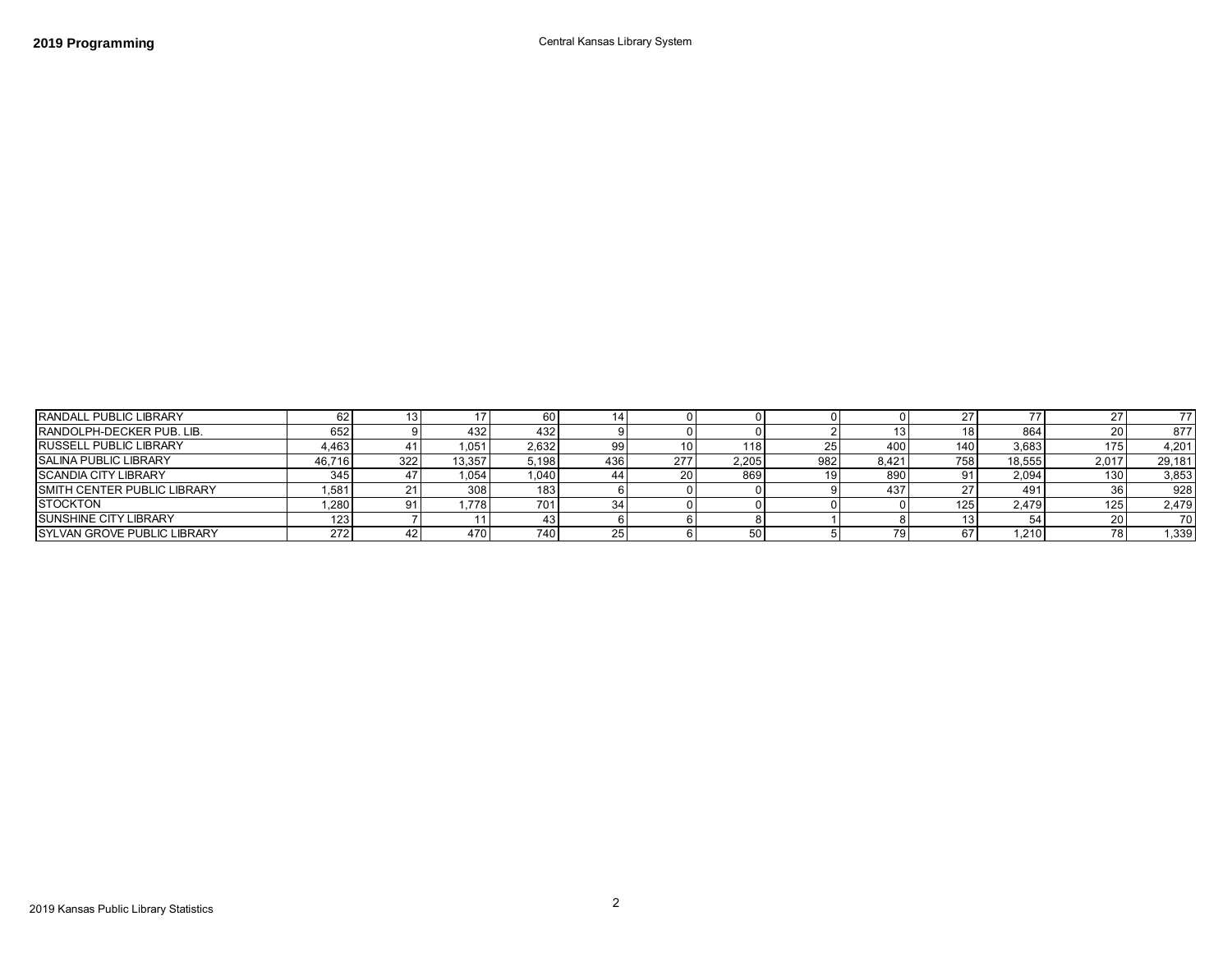| <b>RANDALL PUBLIC LIBRARY</b>      | 62 I   |     |        | 60    |     |     |       |     |       |                  |        |       | 77     |
|------------------------------------|--------|-----|--------|-------|-----|-----|-------|-----|-------|------------------|--------|-------|--------|
| <b>RANDOLPH-DECKER PUB. LIB.</b>   | 652    |     | 432    | 432   |     |     |       |     |       |                  | 864    |       | 877    |
| <b>RUSSELL PUBLIC LIBRARY</b>      | 4.463  |     | .051   | 2,632 |     |     | 118   |     | 400   | 140 <sub>1</sub> | 3,683  | 175   | 4,201  |
| <b>SALINA PUBLIC LIBRARY</b>       | 46,716 | 322 | 13.357 | 5,198 | 436 | 277 | 2.205 | 982 | 8,421 | 758              | 18,555 | 2.017 | 29,181 |
| <b>SCANDIA CITY LIBRARY</b>        | 345    |     | 1,054  | 1.040 |     | 20  | 869   |     | 890   |                  | 2,094  | 130   | 3,853  |
| SMITH CENTER PUBLIC LIBRARY        | .581   |     | 308    | 183.  |     |     |       |     | 437   |                  | 491    |       | 928    |
| <b>STOCKTON</b>                    | ,280   | 91  | .778   | 701.  |     |     |       |     |       | 125.             | 2,479  | 125   | 2,479  |
| <b>ISUNSHINE CITY LIBRARY</b>      | 123    |     |        |       |     |     |       |     |       |                  |        |       | 70     |
| <b>SYLVAN GROVE PUBLIC LIBRARY</b> | 272    |     | 470    | 740   |     |     |       |     | 79 I  |                  | .210   |       | 1.339  |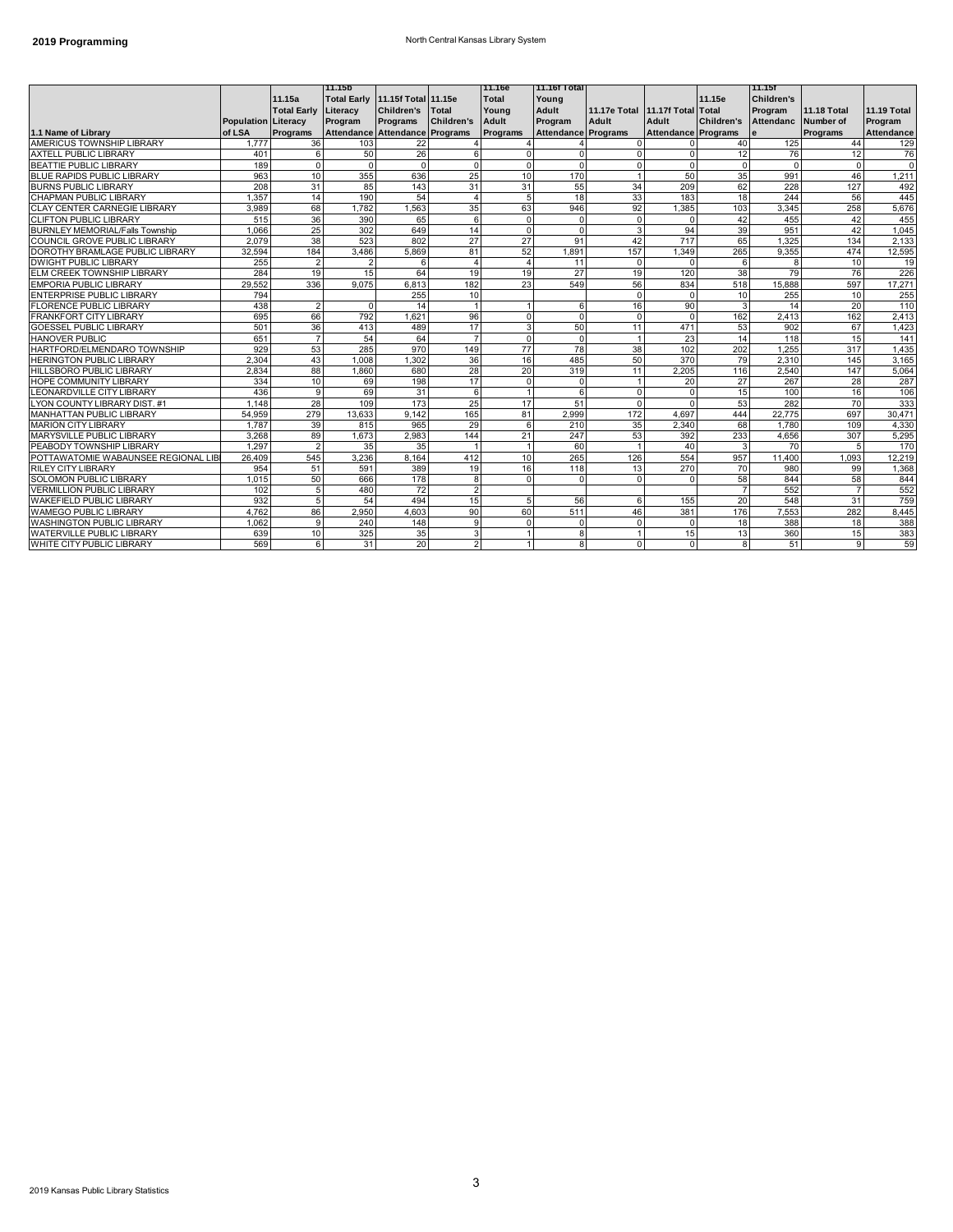## **2019 Programming 2019 Programming North Central Kansas Library System**

|                                        |                            |                    | 111.15b                         |                   |                   | l11.16e        | 11.16f Total        |                                 |                     |                 | l 11.15f          |                    |                   |
|----------------------------------------|----------------------------|--------------------|---------------------------------|-------------------|-------------------|----------------|---------------------|---------------------------------|---------------------|-----------------|-------------------|--------------------|-------------------|
|                                        |                            | 11.15a             | Total Early 11.15f Total 11.15e |                   |                   | Total          | Young               |                                 |                     | 11.15e          | <b>Children's</b> |                    |                   |
|                                        |                            | <b>Total Early</b> | Literacy                        | <b>Children's</b> | <b>Total</b>      | Young          | Adult               | 11.17e Total 11.17f Total Total |                     |                 | Program           | <b>11.18 Total</b> | 11.19 Total       |
|                                        | <b>Population Literacy</b> |                    | Program                         | Programs          | <b>Children's</b> | Adult          | Program             | Adult                           | Adult               | Children's      | <b>Attendanc</b>  | Number of          | Program           |
| 1.1 Name of Library                    | of LSA                     | Programs           | Attendance Attendance Programs  |                   |                   | Programs       | Attendance Programs |                                 | Attendance Programs |                 | e                 | Programs           | <b>Attendance</b> |
| AMERICUS TOWNSHIP LIBRARY              | 1.777                      | 36                 | 103                             | 22                |                   |                |                     | $\Omega$                        |                     | 40 <sup>1</sup> | 125               | 44                 | 129               |
| <b>AXTELL PUBLIC LIBRARY</b>           | 401                        | 6                  | 50                              | 26                | 6                 | $\Omega$       | U                   | $\Omega$                        |                     | 12              | 76                | 12                 | 76                |
| <b>BEATTIE PUBLIC LIBRARY</b>          | 189                        | $\Omega$           | $\Omega$                        | $\Omega$          | $\mathbf 0$       | $\Omega$       | $\Omega$            |                                 |                     | $\Omega$        | $\Omega$          | $\Omega$           | $\Omega$          |
| <b>BLUE RAPIDS PUBLIC LIBRARY</b>      | 963                        | 10                 | 355                             | 636               | 25                | 10             | 170                 |                                 | 50                  | 35              | 991               | 46                 | 1,211             |
| <b>BURNS PUBLIC LIBRARY</b>            | 208                        | 31                 | 85                              | 143               | 31                | 31             | 55                  | 34                              | 209                 | 62              | 228               | 127                | 492               |
| CHAPMAN PUBLIC LIBRARY                 | 1,357                      | 14                 | 190                             | 54                | $\overline{4}$    | 5              | 18                  | 33                              | 183                 | 18              | 244               | 56                 | 445               |
| <b>CLAY CENTER CARNEGIE LIBRARY</b>    | 3.989                      | 68                 | 1.782                           | 1.563             | 35                | 63             | 946                 | 92                              | 1.385               | 103             | 3.345             | 258                | 5,676             |
| <b>CLIFTON PUBLIC LIBRARY</b>          | 515                        | 36                 | 390                             | 65                | 6                 | $\Omega$       | $\Omega$            | $\Omega$                        |                     | 42              | 455               | 42                 | 455               |
| <b>BURNLEY MEMORIAL/Falls Township</b> | 1.066                      | 25                 | 302                             | 649               | 14                | $\Omega$       | $\Omega$            | 3                               | 94                  | 39              | 951               | 42                 | 1,045             |
| COUNCIL GROVE PUBLIC LIBRARY           | 2.079                      | 38                 | 523                             | 802               | 27                | 27             | 91                  | 42                              | 717                 | 65              | 1,325             | 134                | 2,133             |
| DOROTHY BRAMLAGE PUBLIC LIBRARY        | 32,594                     | 184                | 3,486                           | 5,869             | 81                | 52             | 1,891               | 157                             | 1,349               | 265             | 9,355             | 474                | 12,595            |
| <b>DWIGHT PUBLIC LIBRARY</b>           | 255                        | 2                  | $\overline{2}$                  | 6                 | $\overline{4}$    |                | 11                  | $\mathbf 0$                     |                     | 6               | 8                 | 10                 | 19                |
| ELM CREEK TOWNSHIP LIBRARY             | 284                        | 19                 | 15                              | 64                | 19                | 19             | 27                  | 19                              | 120                 | 38              | 79                | 76                 | 226               |
| <b>EMPORIA PUBLIC LIBRARY</b>          | 29.552                     | 336                | 9.075                           | 6,813             | 182               | 23             | 549                 | 56                              | 834                 | 518             | 15,888            | 597                | 17,271            |
| <b>ENTERPRISE PUBLIC LIBRARY</b>       | 794                        |                    |                                 | 255               | 10                |                |                     | $\Omega$                        |                     | 10              | 255               | 10                 | 255               |
| <b>FLORENCE PUBLIC LIBRARY</b>         | 438                        | $\overline{2}$     | $\Omega$                        | 14                |                   |                | 6                   | 16                              | 90                  | 3               | 14                | 20                 | 110               |
| <b>FRANKFORT CITY LIBRARY</b>          | 695                        | 66                 | 792                             | 1.621             | 96                | $\overline{0}$ | $\Omega$            | $\Omega$                        |                     | 162             | 2.413             | 162                | 2,413             |
| <b>GOESSEL PUBLIC LIBRARY</b>          | 501                        | 36                 | 413                             | 489               | 17                | 3              | 50                  | 11                              | 471                 | 53              | 902               | 67                 | 1,423             |
| HANOVER PUBLIC                         | 651                        | $\overline{7}$     | 54                              | 64                | $\overline{7}$    | $\Omega$       | $\Omega$            |                                 | 23                  | 14              | 118               | 15                 | 141               |
| HARTFORD/ELMENDARO TOWNSHIP            | 929                        | 53                 | 285                             | 970               | 149               | 77             | 78                  | 38                              | 102                 | 202             | 1,255             | 317                | 1,435             |
| <b>HERINGTON PUBLIC LIBRARY</b>        | 2.304                      | 43                 | 1.008                           | 1,302             | 36                | 16             | 485                 | 50                              | 370                 | 79              | 2,310             | 145                | 3,165             |
| <b>HILLSBORO PUBLIC LIBRARY</b>        | 2.834                      | 88                 | 1.860                           | 680               | 28                | 20             | 319                 | 11                              | 2.205               | 116             | 2.540             | 147                | 5,064             |
| <b>HOPE COMMUNITY LIBRARY</b>          | 334                        | 10                 | 69                              | 198               | 17                | $\Omega$       | $\Omega$            |                                 | 20                  | 27              | 267               | 28                 | 287               |
| LEONARDVILLE CITY LIBRARY              | 436                        | 9                  | 69                              | 31                | 6                 |                | 6                   | $\Omega$                        |                     | 15              | 100               | 16                 | 106               |
| LYON COUNTY LIBRARY DIST. #1           | 1,148                      | 28                 | 109                             | 173               | 25                | 17             | 51                  | $\Omega$                        |                     | 53              | 282               | 70                 | 333               |
| <b>MANHATTAN PUBLIC LIBRARY</b>        | 54.959                     | 279                | 13.633                          | 9.142             | 165               | 81             | 2.999               | 172                             | 4.697               | 444             | 22,775            | 697                | 30,471            |
| <b>MARION CITY LIBRARY</b>             | 1.787                      | 39                 | 815                             | 965               | 29                | 6              | 210                 | 35                              | 2.340               | 68              | 1.780             | 109                | 4,330             |
| MARYSVILLE PUBLIC LIBRARY              | 3,268                      | 89                 | 1.673                           | 2,983             | 144               | 21             | 247                 | 53                              | 392                 | 233             | 4,656             | 307                | 5,295             |
| PEABODY TOWNSHIP LIBRARY               | 1.297                      | $\overline{2}$     | 35                              | 35                |                   |                | 60                  |                                 | 40                  | 3               | 70                | 5                  | 170               |
| POTTAWATOMIE WABAUNSEE REGIONAL LIBI   | 26.409                     | 545                | 3.236                           | 8.164             | 412               | 10             | 265                 | 126                             | 554                 | 957             | 11.400            | 1.093              | 12,219            |
| <b>RILEY CITY LIBRARY</b>              | 954                        | 51                 | 591                             | 389               | 19                | 16             | 118                 | 13                              | 270                 | 70              | 980               | 99                 | 1,368             |
| <b>SOLOMON PUBLIC LIBRARY</b>          | 1.015                      | 50                 | 666                             | 178               | 8                 | $\mathbf 0$    | $\mathbf 0$         | $\Omega$                        |                     | 58              | 844               | 58                 | 844               |
| <b>VERMILLION PUBLIC LIBRARY</b>       | 102                        | 5                  | 480                             | 72                | $\overline{2}$    |                |                     |                                 |                     |                 | 552               |                    | 552               |
| WAKEFIELD PUBLIC LIBRARY               | 932                        | 5                  | 54                              | 494               | 15                | 5              | 56                  | 6                               | 155                 | 20              | 548               | 31                 | 759               |
| <b>WAMEGO PUBLIC LIBRARY</b>           | 4.762                      | 86                 | 2.950                           | 4,603             | 90                | 60             | 511                 | 46                              | 381                 | 176             | 7,553             | 282                | 8,445             |
| <b>WASHINGTON PUBLIC LIBRARY</b>       | 1.062                      | $\mathbf{Q}$       | 240                             | 148               | 9                 | $\Omega$       | O                   |                                 |                     | 18              | 388               | 18                 | 388               |
| WATERVILLE PUBLIC LIBRARY              | 639                        | 10                 | 325                             | 35                | 3                 |                | 8                   |                                 | 15                  | 13              | 360               | 15                 | 383               |
| WHITE CITY PUBLIC LIBRARY              | 569                        | 6                  | 31                              | 20                | $\overline{2}$    | $\mathbf{1}$   | 8 <sup>1</sup>      | $\Omega$                        | $\Omega$            | 8 <sup>1</sup>  | 51                | 9                  | 59                |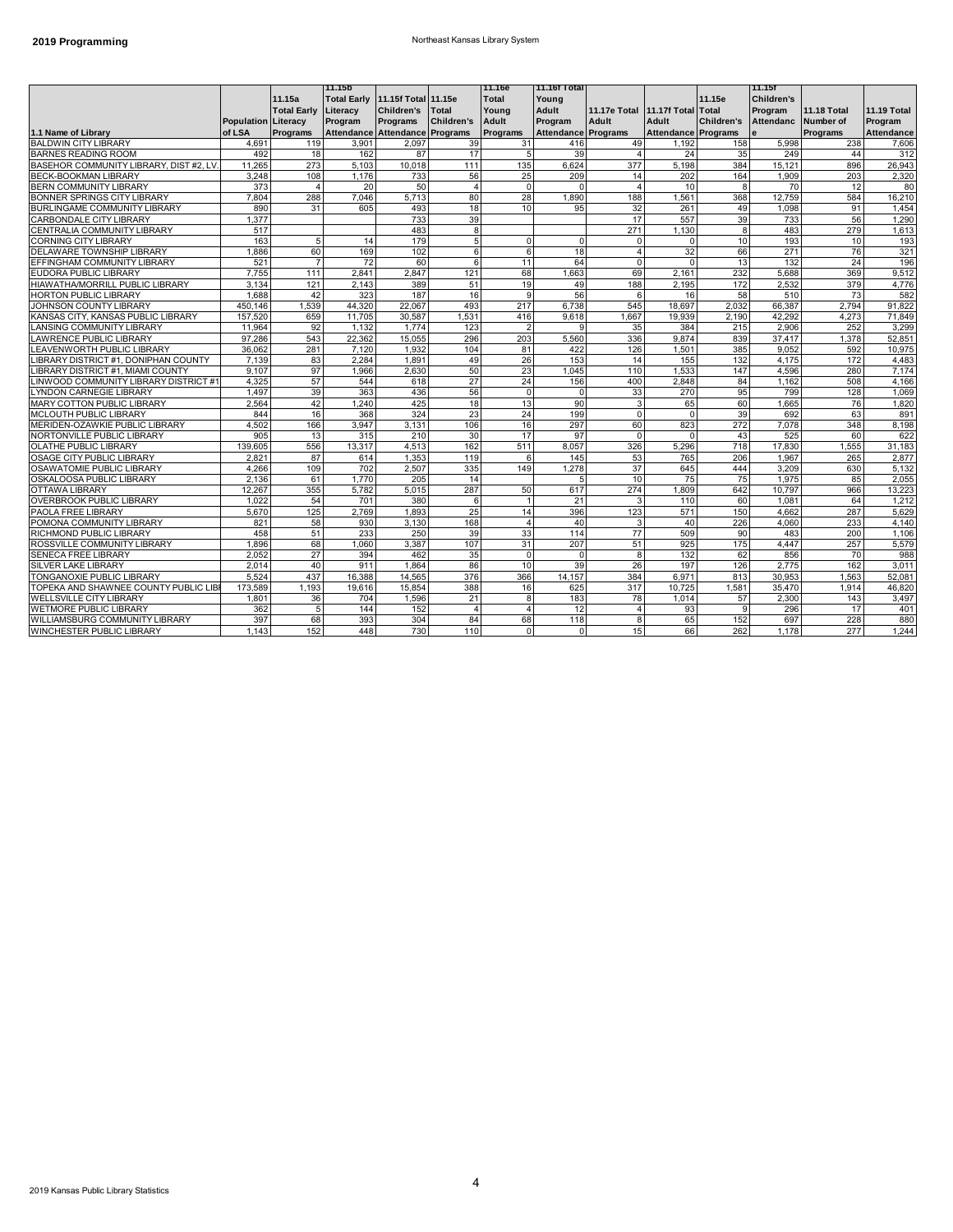### **2019 Programming** Northeast Kansas Library System

|                                         |                            |                    | l11.15b                         |            |                   | 11.16e                   | 11.16f Total        |                |                            |                   | 11.15f            |                    |                    |
|-----------------------------------------|----------------------------|--------------------|---------------------------------|------------|-------------------|--------------------------|---------------------|----------------|----------------------------|-------------------|-------------------|--------------------|--------------------|
|                                         |                            | 11.15a             | Total Early 11.15f Total 11.15e |            |                   | <b>Total</b>             | Young               |                |                            | 11.15e            | <b>Children's</b> |                    |                    |
|                                         |                            | <b>Total Early</b> | Literacy                        | Children's | <b>Total</b>      | Young                    | Adult               | 11.17e Total   | 11.17f Total Total         |                   | Program           | <b>11.18 Total</b> | <b>11.19 Total</b> |
|                                         | <b>Population Literacy</b> |                    | Program                         | Programs   | <b>Children's</b> | Adult                    | Program             | Adult          | Adult                      | <b>Children's</b> | Attendanc         | Number of          | Program            |
| 1.1 Name of Library                     | of LSA                     | Programs           | Attendance Attendance Programs  |            |                   | Programs                 | Attendance Programs |                | <b>Attendance Programs</b> |                   |                   | Programs           | <b>Attendance</b>  |
| <b>BALDWIN CITY LIBRARY</b>             | 4,691                      | 119                | 3,901                           | 2,097      | 39                | 31                       | 416                 | 49             | 1,192                      | 158               | 5,998             | 238                | 7,606              |
| BARNES READING ROOM                     | 492                        | 18                 | 162                             | 87         | 17                | 5                        | 39                  | $\overline{4}$ | 24                         | 35                | 249               | 44                 | 312                |
| BASEHOR COMMUNITY LIBRARY, DIST #2, LV. | 11.265                     | 273                | 5,103                           | 10,018     | 111               | 135                      | 6.624               | 377            | 5,198                      | 384               | 15,121            | 896                | 26,943             |
| <b>BECK-BOOKMAN LIBRARY</b>             | 3.248                      | 108                | 1.176                           | 733        | 56                | 25                       | 209                 | 14             | 202                        | 164               | 1.909             | 203                | 2,320              |
| BERN COMMUNITY LIBRARY                  | 373                        | $\overline{4}$     | 20                              | 50         | $\overline{4}$    | $\Omega$                 | $\mathbf 0$         | $\overline{4}$ | 10                         | 8                 | 70                | 12                 | 80                 |
| BONNER SPRINGS CITY LIBRARY             | 7,804                      | 288                | 7,046                           | 5,713      | 80                | 28                       | 1,890               | 188            | 1,561                      | 368               | 12,759            | 584                | 16,210             |
| BURLINGAME COMMUNITY LIBRARY            | 890                        | 31                 | 605                             | 493        | 18                | 10                       | 95                  | 32             | 261                        | 49                | 1,098             | 91                 | 1,454              |
| CARBONDALE CITY LIBRARY                 | 1.377                      |                    |                                 | 733        | 39                |                          |                     | 17             | 557                        | 39                | 733               | 56                 | 1.290              |
| CENTRALIA COMMUNITY LIBRARY             | 517                        |                    |                                 | 483        | 8                 |                          |                     | 271            | 1,130                      | 8                 | 483               | 279                | 1,613              |
| CORNING CITY LIBRARY                    | 163                        | 5                  | 14                              | 179        | 5                 | $\Omega$                 | $\mathbf 0$         | $\Omega$       |                            | 10                | 193               | 10                 | 193                |
| DELAWARE TOWNSHIP LIBRARY               | 1.886                      | 60                 | 169                             | 102        | 6                 | 6                        | 18                  | $\overline{4}$ | 32                         | 66                | 271               | 76                 | 321                |
| EFFINGHAM COMMUNITY LIBRARY             | 521                        | $\overline{7}$     | 72                              | 60         | 6                 | 11                       | 64                  | $\Omega$       | $\Omega$                   | 13                | 132               | 24                 | 196                |
| EUDORA PUBLIC LIBRARY                   | 7,755                      | 111                | 2,841                           | 2,847      | 121               | 68                       | 1,663               | 69             | 2,161                      | 232               | 5,688             | 369                | 9,512              |
| HIAWATHA/MORRILL PUBLIC LIBRARY         | 3,134                      | 121                | 2,143                           | 389        | 51                | 19                       | 49                  | 188            | 2,195                      | 172               | 2,532             | 379                | 4,776              |
| <b>HORTON PUBLIC LIBRARY</b>            | 1.688                      | 42                 | 323                             | 187        | 16                | 9                        | 56                  | 6              | 16                         | 58                | 510               | 73                 | 582                |
| JOHNSON COUNTY LIBRARY                  | 450.146                    | 1.539              | 44.320                          | 22.067     | 493               | 217                      | 6,738               | 545            | 18.697                     | 2,032             | 66.387            | 2.794              | 91,822             |
| KANSAS CITY, KANSAS PUBLIC LIBRARY      | 157.520                    | 659                | 11.705                          | 30.587     | 1.531             | 416                      | 9.618               | 1.667          | 19.939                     | 2.190             | 42.292            | 4.273              | 71.849             |
| LANSING COMMUNITY LIBRARY               | 11,964                     | 92                 | 1,132                           | 1,774      | 123               | $\overline{\phantom{a}}$ | 9                   | 35             | 384                        | 215               | 2,906             | 252                | 3,299              |
| LAWRENCE PUBLIC LIBRARY                 | 97.286                     | 543                | 22,362                          | 15,055     | 296               | 203                      | 5,560               | 336            | 9.874                      | 839               | 37,417            | 1,378              | 52,851             |
| LEAVENWORTH PUBLIC LIBRARY              | 36.062                     | 281                | 7.120                           | 1.932      | 104               | 81                       | 422                 | 126            | 1.501                      | 385               | 9.052             | 592                | 10,975             |
| LIBRARY DISTRICT #1, DONIPHAN COUNTY    | 7.139                      | 83                 | 2.284                           | 1.891      | 49                | 26                       | 153                 | 14             | 155                        | 132               | 4.175             | 172                | 4.483              |
| LIBRARY DISTRICT #1, MIAMI COUNTY       | 9.107                      | 97                 | 1,966                           | 2,630      | 50                | 23                       | 1.045               | 110            | 1,533                      | 147               | 4,596             | 280                | 7,174              |
| LINWOOD COMMUNITY LIBRARY DISTRICT #1   | 4.325                      | 57                 | 544                             | 618        | 27                | 24                       | 156                 | 400            | 2.848                      | 84                | 1.162             | 508                | 4,166              |
| <b>LYNDON CARNEGIE LIBRARY</b>          | 1.497                      | 39                 | 363                             | 436        | 56                | $\Omega$                 | $\Omega$            | 33             | 270                        | 95                | 799               | 128                | 1,069              |
| MARY COTTON PUBLIC LIBRARY              | 2.564                      | 42                 | 1.240                           | 425        | 18                | 13                       | 90                  | 3              | 65                         | 60                | 1.665             | 76                 | 1,820              |
| MCLOUTH PUBLIC LIBRARY                  | 844                        | 16                 | 368                             | 324        | 23                | 24                       | 199                 | $\Omega$       |                            | 39                | 692               | 63                 | 891                |
| MERIDEN-OZAWKIE PUBLIC LIBRARY          | 4.502                      | 166                | 3.947                           | 3,131      | 106               | 16                       | 297                 | 60             | 823                        | 272               | 7,078             | 348                | 8,198              |
| NORTONVILLE PUBLIC LIBRARY              | 905                        | 13                 | 315                             | 210        | 30                | 17                       | 97                  | $\Omega$       |                            | 43                | 525               | 60                 | 622                |
| OLATHE PUBLIC LIBRARY                   | 139.605                    | 556                | 13.317                          | 4.513      | 162               | 511                      | 8.057               | 326            | 5.296                      | 718               | 17,830            | 1.555              | 31,183             |
| OSAGE CITY PUBLIC LIBRARY               | 2.821                      | 87                 | 614                             | 1.353      | 119               | 6                        | 145                 | 53             | 765                        | 206               | 1.967             | 265                | 2.877              |
| OSAWATOMIE PUBLIC LIBRARY               | 4.266                      | 109                | 702                             | 2,507      | 335               | 149                      | 1.278               | 37             | 645                        | 444               | 3,209             | 630                | 5,132              |
| OSKALOOSA PUBLIC LIBRARY                | 2.136                      | 61                 | 1.770                           | 205        | 14                |                          | 5                   | 10             | 75                         | 75                | 1,975             | 85                 | 2,055              |
| OTTAWA LIBRARY                          | 12.267                     | 355                | 5.782                           | 5,015      | 287               | 50                       | 617                 | 274            | 1.809                      | 642               | 10.797            | 966                | 13,223             |
| <b>OVERBROOK PUBLIC LIBRARY</b>         | 1,022                      | 54                 | 701                             | 380        | 6                 | $\overline{1}$           | 21                  | 3              | 110                        | 60                | 1,081             | 64                 | 1,212              |
| PAOLA FREE LIBRARY                      | 5,670                      | 125                | 2,769                           | 1.893      | 25                | 14                       | 396                 | 123            | 571                        | 150               | 4.662             | 287                | 5,629              |
| POMONA COMMUNITY LIBRARY                | 821                        | 58                 | 930                             | 3,130      | 168               | $\overline{4}$           | 40                  | 3              | 40                         | 226               | 4.060             | 233                | 4,140              |
| RICHMOND PUBLIC LIBRARY                 | 458                        | 51                 | 233                             | 250        | 39                | 33                       | 114                 | 77             | 509                        | 90                | 483               | 200                | 1,106              |
| ROSSVILLE COMMUNITY LIBRARY             | 1.896                      | 68                 | 1.060                           | 3.387      | 107               | 31                       | 207                 | 51             | 925                        | 175               | 4.447             | 257                | 5,579              |
| SENECA FREE LIBRARY                     | 2.052                      | 27                 | 394                             | 462        | 35                | 0                        | $\mathbf 0$         | 8              | 132                        | 62                | 856               | 70                 | 988                |
| SILVER LAKE LIBRARY                     | 2.014                      | 40                 | 911                             | 1.864      | 86                | 10                       | 39                  | 26             | 197                        | 126               | 2.775             | 162                | 3,011              |
| TONGANOXIE PUBLIC LIBRARY               | 5.524                      | 437                | 16.388                          | 14.565     | 376               | 366                      | 14.157              | 384            | 6.971                      | 813               | 30.953            | 1.563              | 52.081             |
| TOPEKA AND SHAWNEE COUNTY PUBLIC LIBI   | 173.589                    | 1.193              | 19.616                          | 15,854     | 388               | 16                       | 625                 | 317            | 10.725                     | 1,581             | 35.470            | 1.914              | 46,820             |
| <b>WELLSVILLE CITY LIBRARY</b>          | 1,801                      | 36                 | 704                             | 1,596      | 21                | 8                        | 183                 | 78             | 1.014                      | 57                | 2,300             | 143                | 3,497              |
| WETMORE PUBLIC LIBRARY                  | 362                        | 5                  | 144                             | 152        | $\overline{4}$    | 4                        | 12                  | $\overline{A}$ | 93                         | 9                 | 296               | 17                 | 401                |
| WILLIAMSBURG COMMUNITY LIBRARY          | 397                        | 68                 | 393                             | 304        | 84                | 68                       | 118                 | 8              | 65                         | 152               | 697               | 228                | 880                |
| WINCHESTER PUBLIC LIBRARY               | 1.143                      | 152                | 448                             | 730        | 110               | 0                        | $\mathsf{O}\xspace$ | 15             | 66                         | 262               | 1.178             | 277                | 1,244              |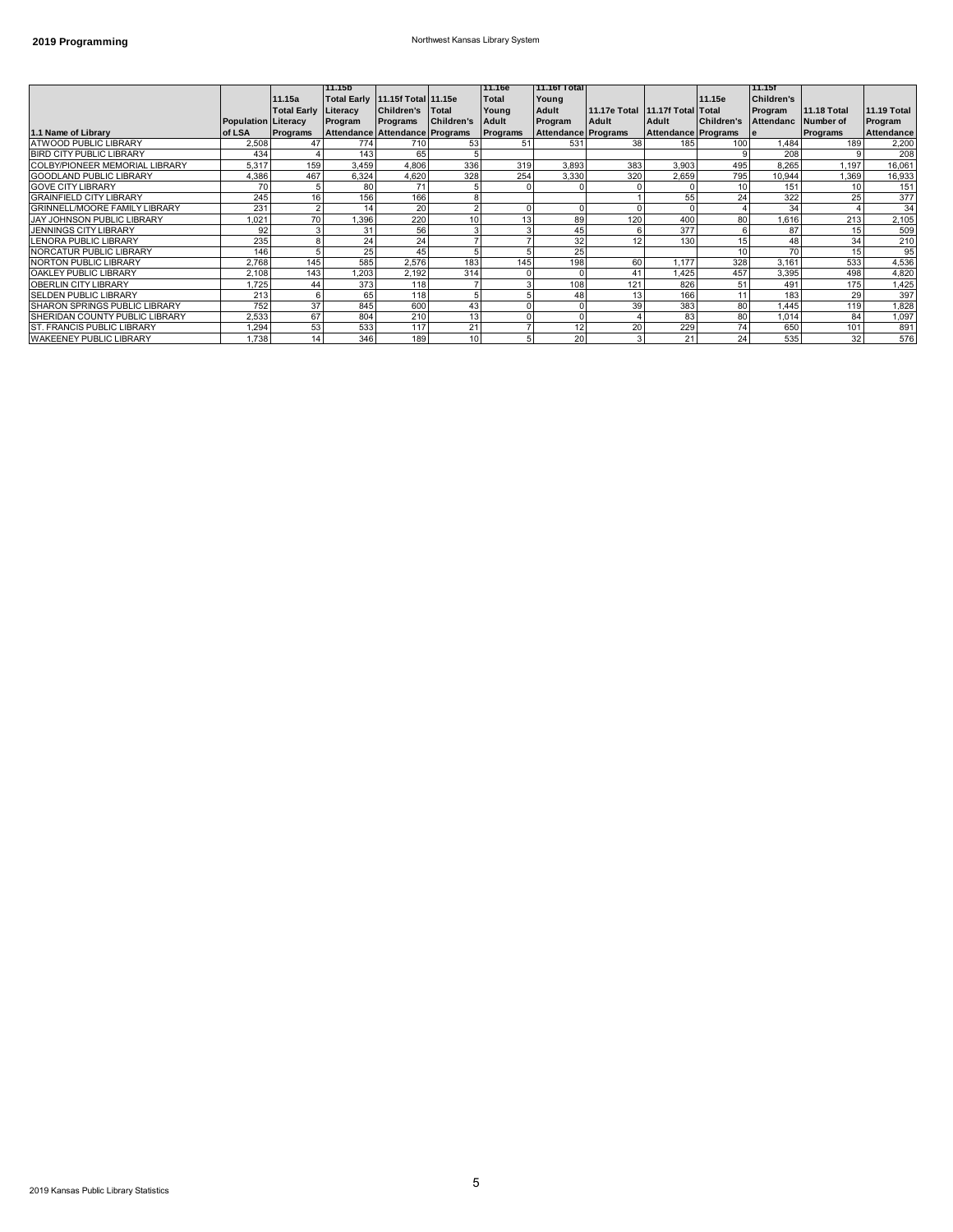### **2019 Programming** Northwest Kansas Library System

|                                      |                            |                    | 11.15b   |                                 |                   | 11.16e      | 11.16f Total        |                                 |                            |                   | 11.15f              |                    |                    |
|--------------------------------------|----------------------------|--------------------|----------|---------------------------------|-------------------|-------------|---------------------|---------------------------------|----------------------------|-------------------|---------------------|--------------------|--------------------|
|                                      |                            | 11.15a             |          | Total Early 11.15f Total 11.15e |                   | Total       | Young               |                                 |                            | 11.15e            | <b>Children's</b>   |                    |                    |
|                                      |                            | <b>Total Early</b> | Literacy | <b>Children's</b>               | <b>Total</b>      | Young       | Adult               | 11.17e Total 11.17f Total Total |                            |                   | Program             | <b>11.18 Total</b> | <b>11.19 Total</b> |
|                                      | <b>Population Literacy</b> |                    | Program  | Programs                        | <b>Children's</b> | Adult       | Program             | Adult                           | Adult                      | <b>Children's</b> | Attendanc Number of |                    | Program            |
| 1.1 Name of Library                  | of LSA                     | Programs           |          | Attendance Attendance Programs  |                   | Programs    | Attendance Programs |                                 | <b>Attendance Programs</b> |                   | -le                 | Programs           | Attendance         |
| <b>ATWOOD PUBLIC LIBRARY</b>         | 2.508                      | 47                 | 774      | 710                             | 53                | 51          | 531                 | 38                              | 185                        | 100               | 1.484               | 189                | 2,200              |
| <b>BIRD CITY PUBLIC LIBRARY</b>      | 434                        |                    | 143      | 65                              |                   |             |                     |                                 |                            |                   | 208                 |                    | 208                |
| COLBY/PIONEER MEMORIAL LIBRARY       | 5,317                      | 159                | 3.459    | 4,806                           | 336               | 319         | 3.893               | 383                             | 3.903                      | 495               | 8.265               | 1.197              | 16,061             |
| <b>GOODLAND PUBLIC LIBRARY</b>       | 4.386                      | 467                | 6.324    | 4.620                           | 328               | 254         | 3.330               | 320                             | 2.659                      | 795               | 10,944              | 1,369              | 16,933             |
| <b>GOVE CITY LIBRARY</b>             | 70                         |                    | 80       | 71                              |                   | 0           |                     |                                 |                            | 10 <sup>1</sup>   | 151                 | 10                 | 151                |
| <b>GRAINFIELD CITY LIBRARY</b>       | 245                        | 16                 | 156      | 166                             |                   |             |                     |                                 | 55                         | 24                | 322                 | 25                 | 377                |
| <b>GRINNELL/MOORE FAMILY LIBRARY</b> | 231                        |                    | 14       | 20                              |                   | 0           |                     |                                 |                            |                   | 34                  |                    | 34                 |
| <b>JAY JOHNSON PUBLIC LIBRARY</b>    | 1.021                      | 70                 | 1,396    | 220                             | 10                | 13          | 89                  | 120                             | 400                        | 80                | 1,616               | 213                | 2,105              |
| <b>JENNINGS CITY LIBRARY</b>         | 92                         |                    | 31       | 56                              |                   | 3           | 45                  |                                 | 377                        | 6                 | 87                  | 15                 | 509                |
| <b>LENORA PUBLIC LIBRARY</b>         | 235                        | 8                  | 24       | 24                              |                   |             | 32                  | 12                              | 130                        | 15                | 48                  | 34                 | 210                |
| NORCATUR PUBLIC LIBRARY              | 146                        |                    | 25       | 45                              |                   | 5           | 25                  |                                 |                            | 10 <sup>1</sup>   | 70                  | 15                 | 95                 |
| NORTON PUBLIC LIBRARY                | 2,768                      | 145                | 585      | 2,576                           | 183               | 145         | 198                 | 60                              | 1.177                      | 328               | 3.161               | 533                | 4,536              |
| OAKLEY PUBLIC LIBRARY                | 2.108                      | 143                | 1.203    | 2,192                           | 314               | 0           |                     | 41                              | 1,425                      | 457               | 3,395               | 498                | 4,820              |
| OBERLIN CITY LIBRARY                 | 1.725                      | 44                 | 373      | 118                             |                   |             | 108                 | 121                             | 826                        | 51                | 491                 | 175                | 1,425              |
| <b>SELDEN PUBLIC LIBRARY</b>         | 213                        | 6                  | 65       | 118                             |                   | 5           | 48                  | 13                              | 166                        | 11                | 183                 | 29                 | 397                |
| <b>SHARON SPRINGS PUBLIC LIBRARY</b> | 752                        | 37                 | 845      | 600                             | 43                | $\Omega$    |                     | 39                              | 383                        | 80                | 1.445               | 119                | 1,828              |
| SHERIDAN COUNTY PUBLIC LIBRARY       | 2,533                      | 67                 | 804      | 210                             | 13                | $\mathbf 0$ |                     |                                 | 83                         | 80                | 1,014               | 84                 | 1,097              |
| <b>ST. FRANCIS PUBLIC LIBRARY</b>    | 1.294                      | 53                 | 533      | 117                             | 21                |             | 12                  | 20                              | 229                        | 74                | 650                 | 101                | 891                |
| <b>WAKEENEY PUBLIC LIBRARY</b>       | 1,738                      | 14                 | 346      | 189                             | 10                | 5           | 20                  |                                 | 21                         | 24                | 535                 | 32                 | 576                |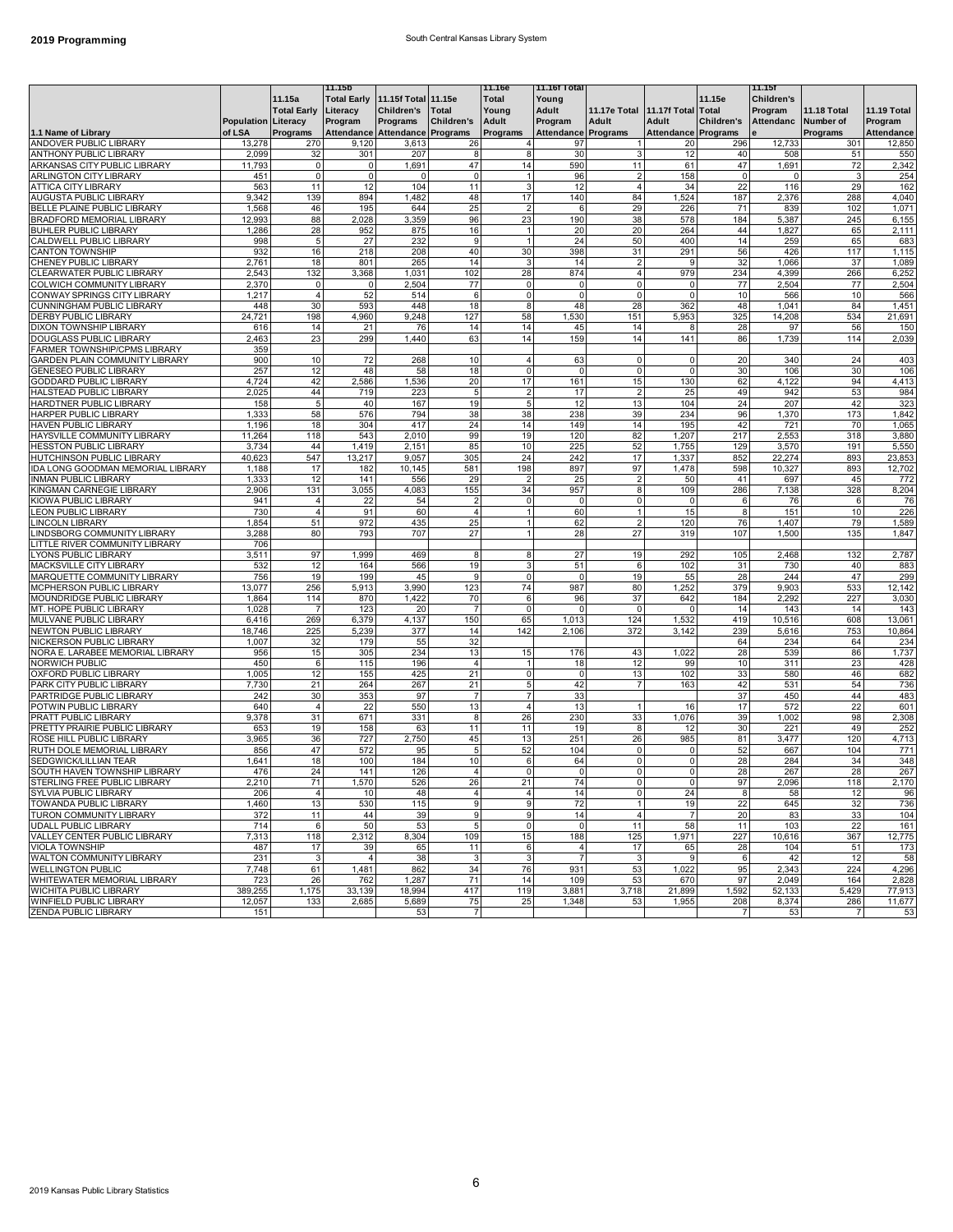### **2019 Programming 2019 Programming South Central Kansas Library System**

|                                       |                            |                    | 11.15b                         |                                 |                   | 11.16e                     | 11.16f Total        |                |                                 |                | 11.15f              |                    |                    |
|---------------------------------------|----------------------------|--------------------|--------------------------------|---------------------------------|-------------------|----------------------------|---------------------|----------------|---------------------------------|----------------|---------------------|--------------------|--------------------|
|                                       |                            | 11.15a             |                                | Total Early 11.15f Total 11.15e |                   | Total                      | Young               |                |                                 | 11.15e         | Children's          |                    |                    |
|                                       |                            | <b>Total Early</b> | Literacy                       | <b>Children's</b>               | <b>Total</b>      | Young                      | Adult               |                | 11.17e Total 11.17f Total Total |                | Program             | <b>11.18 Total</b> | <b>11.19 Total</b> |
|                                       | <b>Population Literacy</b> |                    | Program                        | Programs                        | <b>Children's</b> | Adult                      | Program             | Adult          | Adult                           | Children's     | Attendanc Number of |                    | Program            |
| 1.1 Name of Library                   | of LSA                     | Programs           | Attendance Attendance Programs |                                 |                   | Programs                   | Attendance Programs |                | <b>Attendance Programs</b>      |                | e                   | Programs           | Attendance         |
| ANDOVER PUBLIC LIBRARY                | 13,278                     | 270                | 9,120                          | 3,613                           | 26                | $\overline{4}$             | 97                  |                | 20                              | 296            | 12,733              | 301                | 12,850             |
| <b>ANTHONY PUBLIC LIBRARY</b>         | 2,099                      | 32                 | 301                            | 207                             | 8                 | 8                          | 30                  |                | 12                              | 40             | 508                 | 51                 | 550                |
| ARKANSAS CITY PUBLIC LIBRARY          | 11,793                     | $\mathsf 0$        | $\mathbf 0$                    | 1,691                           | 47                | 14                         | 590                 | 11             | 61                              | 47             | 1,691               | 72                 | 2,342              |
| <b>ARLINGTON CITY LIBRARY</b>         | 451                        | $\mathsf 0$        | $\mathbf 0$                    | 0                               | $\mathbf 0$       | $\mathbf{1}$               | 96                  | $\overline{2}$ | 158                             | $\circ$        | 0                   | 3                  | 254                |
| <b>ATTICA CITY LIBRARY</b>            | 563                        | 11                 | 12                             | 104                             | 11                | 3                          | 12                  | $\overline{4}$ | 34                              | 22             | 116                 | 29                 | 162                |
| AUGUSTA PUBLIC LIBRARY                | 9,342                      | 139                | 894                            | 1,482                           | 48                | 17                         | 140                 | 84             | 1,524                           | 187            | 2,376               | 288                | 4,040              |
| BELLE PLAINE PUBLIC LIBRARY           | 1,568                      | 46                 | 195                            | 644                             | 25                | $\overline{2}$             | 6                   | 29             | 226                             | 71             | 839                 | 102                | 1,071              |
| BRADFORD MEMORIAL LIBRARY             | 12,993                     | 88                 | 2,028                          | 3,359                           | 96                | 23                         | 190                 | 38             | 578                             | 184            | 5,387               | 245                | 6,155              |
| <b>BUHLER PUBLIC LIBRARY</b>          | 1,286                      | 28                 | 952                            | 875                             | 16                | $\mathbf{1}$               | 20                  | 20             | 264                             | 44             | 1,827               | 65                 | 2,111              |
| CALDWELL PUBLIC LIBRARY               | 998                        | 5                  | 27                             | 232                             | $\boldsymbol{9}$  | $\mathbf{1}$               | 24                  | 50             | 400                             | 14             | 259                 | 65                 | 683                |
| CANTON TOWNSHIP                       | 932                        | 16                 | 218                            | 208                             | 40                | 30                         | 398                 | 31             | 291                             | 56             | 426                 | 117                | 1,115              |
| CHENEY PUBLIC LIBRARY                 | 2,761                      | 18                 | 801                            | 265                             | 14                | 3                          | 14                  | $\overline{2}$ | <sub>9</sub>                    | 32             | 1,066               | 37                 | 1,089              |
| CLEARWATER PUBLIC LIBRARY             | 2,543                      | 132                | 3,368                          | 1,031                           | 102               | 28                         | 874                 | $\overline{4}$ | 979                             | 234            | 4,399               | 266                | 6,252              |
| COLWICH COMMUNITY LIBRARY             | 2,370                      | $\mathsf 0$        | $\Omega$                       | 2,504                           | 77                | 0                          | $\mathbf 0$         | $\mathbf 0$    |                                 | 77             | 2,504               | 77                 | 2,504              |
| CONWAY SPRINGS CITY LIBRARY           | 1,217                      | $\overline{4}$     | 52                             | 514                             | 6                 | 0                          | $\mathsf{O}\xspace$ | $\mathbf 0$    |                                 | 10             | 566                 | 10                 | 566                |
| <b>CUNNINGHAM PUBLIC LIBRARY</b>      | 448                        | 30                 | 593                            | 448                             | 18                | 8                          | 48                  | 28             | 362                             | 48             | 1,041               | 84                 | 1,451              |
| DERBY PUBLIC LIBRARY                  | 24,721                     | 198                | 4,960                          | 9,248                           | 127               | 58                         | 1,530               | 151            | 5,953                           | 325            |                     | 534                |                    |
| DIXON TOWNSHIP LIBRARY                | 616                        | 14                 | 21                             | 76                              | 14                | 14                         | 45                  | 14             | 8                               | 28             | 14,208<br>97        | 56                 | 21,691<br>150      |
|                                       | 2,463                      | 23                 | 299                            | 1,440                           | 63                | 14                         | 159                 | 14             |                                 | 86             |                     | 114                |                    |
| DOUGLASS PUBLIC LIBRARY               |                            |                    |                                |                                 |                   |                            |                     |                | 141                             |                | 1,739               |                    | 2,039              |
| FARMER TOWNSHIP/CPMS LIBRARY          | 359<br>900                 |                    |                                |                                 |                   |                            |                     |                |                                 |                | 340                 |                    |                    |
| <b>GARDEN PLAIN COMMUNITY LIBRARY</b> |                            | 10                 | 72                             | 268                             | 10                | $\overline{4}$<br>$\Omega$ | 63                  | 0              | $\Omega$                        | 20             |                     | 24                 | 403                |
| <b>GENESEO PUBLIC LIBRARY</b>         | 257                        | 12                 | 48                             | 58                              | 18                |                            | $\mathbf 0$         | $\mathbf 0$    |                                 | 30             | 106                 | 30                 | 106                |
| GODDARD PUBLIC LIBRARY                | 4,724                      | 42                 | 2,586                          | 1,536                           | 20                | 17                         | 161                 | 15             | 130                             | 62             | 4,122               | 94                 | 4,413              |
| HALSTEAD PUBLIC LIBRARY               | 2,025                      | 44                 | 719                            | 223                             | $\overline{5}$    | $\overline{2}$             | 17                  | $\overline{2}$ | 25                              | 49             | 942                 | 53                 | 984                |
| HARDTNER PUBLIC LIBRARY               | 158                        | 5                  | 40                             | 167                             | 19                | 5                          | 12                  | 13             | 104                             | 24             | 207                 | 42                 | 323                |
| HARPER PUBLIC LIBRARY                 | 1,333                      | 58                 | 576                            | 794                             | 38                | 38                         | 238                 | 39             | 234                             | 96             | 1,370               | 173                | 1,842              |
| HAVEN PUBLIC LIBRARY                  | 1,196                      | 18                 | 304                            | 417                             | 24                | 14                         | 149                 | 14             | 195                             | 42             | 721                 | 70                 | 1,065              |
| HAYSVILLE COMMUNITY LIBRARY           | 11,264                     | 118                | 543                            | 2,010                           | 99                | 19                         | 120                 | 82             | 1,207                           | 217            | 2,553               | 318                | 3,880              |
| <b>HESSTON PUBLIC LIBRARY</b>         | 3,734                      | 44                 | 1,419                          | 2,151                           | 85                | 10                         | 225                 | 52             | 1,755                           | 129            | 3,570               | 191                | 5,550              |
| HUTCHINSON PUBLIC LIBRARY             | 40,623                     | 547                | 13,217                         | 9,057                           | 305               | 24                         | 242                 | 17             | 1,337                           | 852            | 22,274              | 893                | 23,853             |
| IDA LONG GOODMAN MEMORIAL LIBRARY     | 1,188                      | 17                 | 182                            | 10,145                          | 581               | 198                        | 897                 | 97             | 1,478                           | 598            | 10,327              | 893                | 12,702             |
| INMAN PUBLIC LIBRARY                  | 1,333                      | 12                 | 141                            | 556                             | 29                | $\overline{2}$             | 25                  | $\overline{2}$ | 50                              | 41             | 697                 | 45                 | 772                |
| KINGMAN CARNEGIE LIBRARY              | 2,906                      | 131                | 3,055                          | 4,083                           | 155               | 34                         | 957                 | 8              | 109                             | 286            | 7,138               | 328                | 8,204              |
| KIOWA PUBLIC LIBRARY                  | 941                        | 4                  | 22                             | 54                              | 2                 | 0                          | $\mathbf 0$         | 0              |                                 | 6              | 76                  | 6                  | 76                 |
| <b>LEON PUBLIC LIBRARY</b>            | 730                        | $\overline{4}$     | 91                             | 60                              | $\overline{4}$    | $\mathbf{1}$               | 60                  | $\mathbf{1}$   | 15                              | 8              | 151                 | 10                 | 226                |
| LINCOLN LIBRARY                       | 1,854                      | 51                 | 972                            | 435                             | 25                | 1                          | 62                  | $\overline{2}$ | 120                             | 76             | 1,407               | 79                 | 1,589              |
| LINDSBORG COMMUNITY LIBRARY           | 3,288                      | 80                 | 793                            | 707                             | 27                | 1                          | 28                  | 27             | 319                             | 107            | 1,500               | 135                | 1,847              |
| LITTLE RIVER COMMUNITY LIBRARY        | 706                        |                    |                                |                                 |                   |                            |                     |                |                                 |                |                     |                    |                    |
| LYONS PUBLIC LIBRARY                  | 3,511                      | 97                 | 1,999                          | 469                             | 8                 | 8                          | 27                  | 19             | 292                             | 105            | 2,468               | 132                | 2,787              |
| MACKSVILLE CITY LIBRARY               | 532                        | 12                 | 164                            | 566                             | 19                | 3                          | 51                  | 6              | 102                             | 31             | 730                 | 40                 | 883                |
| MARQUETTE COMMUNITY LIBRARY           | 756                        | 19                 | 199                            | 45                              | 9                 | 0                          | $\mathbf 0$         | 19             | 55                              | 28             | 244                 | 47                 | 299                |
| MCPHERSON PUBLIC LIBRARY              | 13,077                     | 256                | 5,913                          | 3,990                           | 123               | 74                         | 987                 | 80             | 1,252                           | 379            | 9,903               | 533                | 12,142             |
| MOUNDRIDGE PUBLIC LIBRARY             | 1,864                      | 114                | 870                            | 1,422                           | 70                | 6                          | 96                  | 37             | 642                             | 184            | 2,292               | 227                | 3,030              |
| MT. HOPE PUBLIC LIBRARY               | 1,028                      |                    | 123                            | 20                              | $\overline{7}$    | 0                          | $\mathbf 0$         | $\mathbf 0$    |                                 | 14             | 143                 | 14                 | 143                |
| MULVANE PUBLIC LIBRARY                | 6,416                      | 269                | 6,379                          | 4,137                           | 150               | 65                         | 1,013               | 124            | 1,532                           | 419            | 10,516              | 608                | 13,061             |
| NEWTON PUBLIC LIBRARY                 | 18,746                     | 225                | 5,239                          | 377                             | 14                | 142                        | 2,106               | 372            | 3,142                           | 239            | 5,616               | 753                | 10,864             |
| NICKERSON PUBLIC LIBRARY              | 1,007                      | 32                 | 179                            | 55                              | 32                |                            |                     |                |                                 | 64             | 234                 | 64                 | 234                |
| NORA E. LARABEE MEMORIAL LIBRARY      | 956                        | 15                 | 305                            | 234                             | 13                | 15                         | 176                 | 43             | 1,022                           | 28             | 539                 | 86                 | 1,737              |
| NORWICH PUBLIC                        | 450                        | 6                  | 115                            | 196                             | $\overline{4}$    | $\mathbf{1}$               | 18                  | 12             | 99                              | 10             | 311                 | 23                 | 428                |
| OXFORD PUBLIC LIBRARY                 | 1,005                      | 12                 | 155                            | 425                             | 21                | $\mathbf 0$                | $\mathbf 0$         | 13             | 102                             | 33             | 580                 | 46                 | 682                |
| PARK CITY PUBLIC LIBRARY              | 7,730                      | 21                 | 264                            | 267                             | 21                | 5                          | 42                  | $\overline{7}$ | 163                             | 42             | 531                 | 54                 | 736                |
| PARTRIDGE PUBLIC LIBRARY              | 242                        | 30                 | 353                            | 97                              | $\overline{7}$    | $\overline{7}$             | 33                  |                |                                 | 37             | 450                 | 44                 | 483                |
| POTWIN PUBLIC LIBRARY                 | 640                        | $\overline{4}$     | 22                             | 550                             | 13                | $\overline{4}$             | 13                  |                | 16                              | 17             | 572                 | 22                 | 601                |
| PRATT PUBLIC LIBRARY                  | 9,378                      | 31                 | 671                            | 331                             | 8                 | 26                         | 230                 | 33             | 1.076                           | 39             | 1,002               | 98                 | 2,308              |
| PRETTY PRAIRIE PUBLIC LIBRARY         | 653                        | 19                 | 158                            | 63                              | 11                | 11                         | 19                  | 8              | 12                              | 30             | 221                 | 49                 | 252                |
| ROSE HILL PUBLIC LIBRARY              | 3,965                      | 36                 | 727                            | 2,750                           | 45                | 13                         | 251                 | 26             | 985                             | 81             | 3,477               | 120                | 4,713              |
| RUTH DOLE MEMORIAL LIBRARY            | 856                        | 47                 | 572                            | 95                              | 5                 | 52                         | 104                 | 0              | $\Omega$                        | 52             | 667                 | 104                | 771                |
| SEDGWICK/LILLIAN TEAR                 | 1,641                      | 18                 | 100                            | 184                             | 10                | 6                          | 64                  | $\mathbf 0$    |                                 | 28             | 284                 | 34                 | 348                |
| SOUTH HAVEN TOWNSHIP LIBRARY          | 476                        | 24                 | 141                            | 126                             | 4                 | 0                          | $\mathbf 0$         | $\overline{0}$ | 0                               | 28             | 267                 | 28                 | 267                |
| STERLING FREE PUBLIC LIBRARY          | 2,210                      | 71                 | 1,570                          | 526                             | 26                | 21                         | 74                  |                | $\Omega$                        | 97             | 2,096               | 118                | 2,170              |
| <b>SYLVIA PUBLIC LIBRARY</b>          | 206                        | $\overline{4}$     | 10                             | 48                              | $\overline{4}$    | $\overline{4}$             | 14                  | $\mathbf 0$    | 24                              | 8              | 58                  | 12                 | 96                 |
| TOWANDA PUBLIC LIBRARY                | 1,460                      | 13                 | 530                            | 115                             | 9                 | 9                          | 72                  |                | 19                              | 22             | 645                 | 32                 | 736                |
| TURON COMMUNITY LIBRARY               | 372                        | 11                 | 44                             | 39                              | 9                 | 9                          | 14                  | $\overline{4}$ | $\overline{7}$                  | 20             | 83                  | 33                 | 104                |
| UDALL PUBLIC LIBRARY                  | 714                        | 6                  | 50                             | 53                              | 5                 | 0                          | $\mathbf 0$         | 11             | 58                              | 11             | 103                 | 22                 | 161                |
| VALLEY CENTER PUBLIC LIBRARY          | 7,313                      | 118                | 2,312                          | 8,304                           | 109               | 15                         | 188                 | 125            | 1,971                           | 227            | 10,616              | 367                | 12,775             |
| <b>VIOLA TOWNSHIP</b>                 | 487                        | 17                 | 39                             | 65                              | 11                | 6                          | $\overline{4}$      | 17             | 65                              | 28             | 104                 | 51                 | 173                |
| WALTON COMMUNITY LIBRARY              | 231                        | 3                  | $\overline{4}$                 | 38                              | 3                 | 3                          | $\overline{7}$      | $\mathbf{3}$   | 9                               | 6              | 42                  | 12                 | 58                 |
| <b>WELLINGTON PUBLIC</b>              | 7,748                      | 61                 | 1,481                          | 862                             | 34                | 76                         | 931                 | 53             | 1,022                           | 95             | 2,343               | 224                | 4,296              |
| WHITEWATER MEMORIAL LIBRARY           | 723                        | 26                 | 762                            | 1,287                           | 71                | 14                         | 109                 | 53             | 670                             | 97             | 2,049               | 164                | 2,828              |
| WICHITA PUBLIC LIBRARY                | 389,255                    | 1,175              | 33,139                         | 18,994                          | 417               | 119                        | 3,881               | 3,718          | 21,899                          | 1,592          | 52,133              | 5,429              | 77,913             |
| WINFIELD PUBLIC LIBRARY               | 12,057                     | 133                | 2,685                          | 5,689                           | 75                | 25                         | 1,348               | 53             | 1,955                           | 208            | 8,374               | 286                | 11,677             |
| <b>ZENDA PUBLIC LIBRARY</b>           | 151                        |                    |                                | 53                              | 7                 |                            |                     |                |                                 | $\overline{7}$ | 53                  | $\overline{7}$     | 53                 |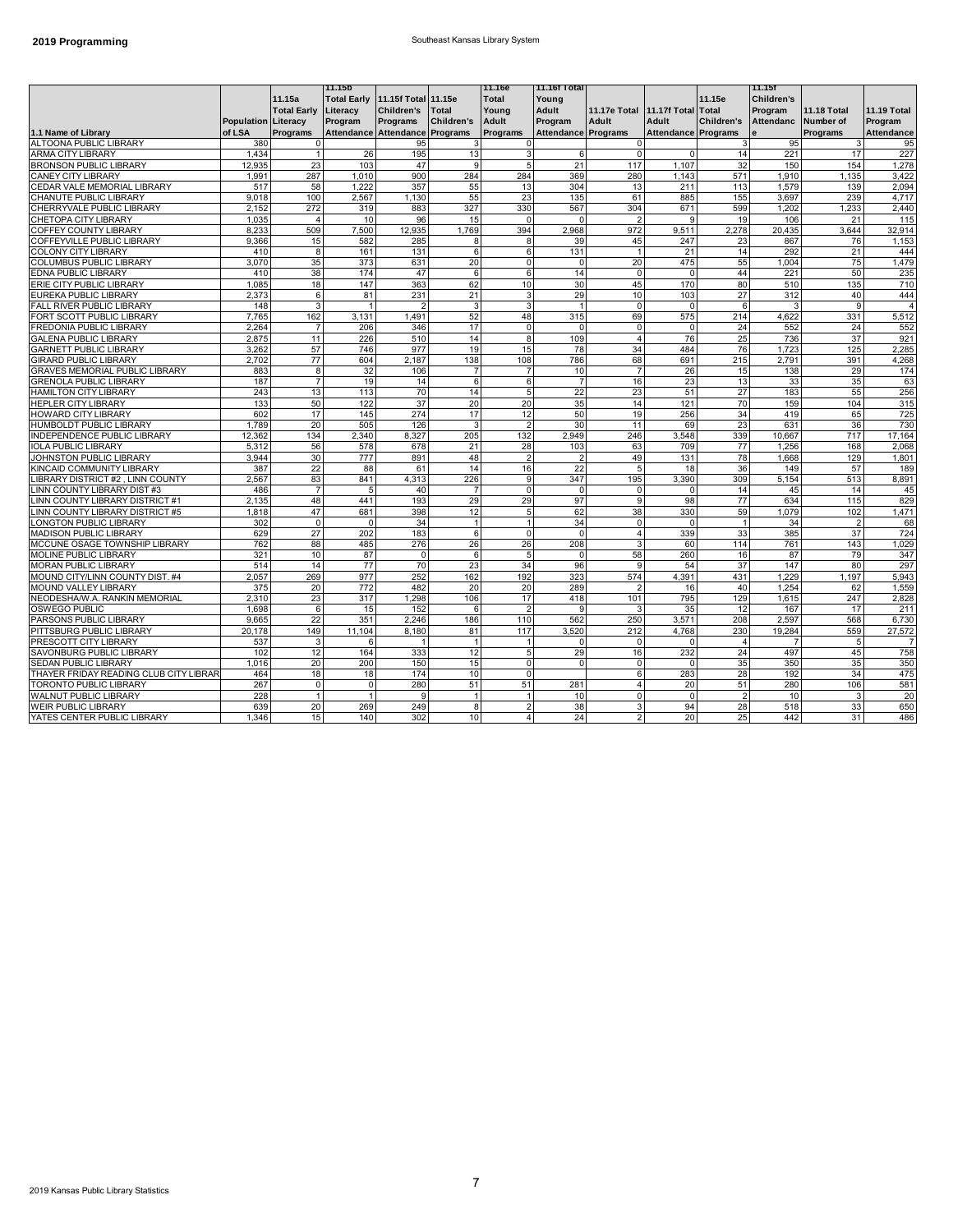#### **2019 Programming 2019 Programming** Southeast Kansas Library System

|                                        |                            |                    | 11.15b                          |            |                   | 11.16e                   | 11.16f Total        |                         |                            |                 | 11.15f            |                    |                    |
|----------------------------------------|----------------------------|--------------------|---------------------------------|------------|-------------------|--------------------------|---------------------|-------------------------|----------------------------|-----------------|-------------------|--------------------|--------------------|
|                                        |                            | 11.15a             | Total Early 11.15f Total 11.15e |            |                   | Total                    | Young               |                         |                            | 11.15e          | <b>Children's</b> |                    |                    |
|                                        |                            | <b>Total Early</b> | Literacy                        | Children's | <b>Total</b>      | Youna                    | <b>Adult</b>        | <b>11.17e Total</b>     | 11.17f Total Total         |                 | Program           | <b>11.18 Total</b> | <b>11.19 Total</b> |
|                                        | <b>Population Literacy</b> |                    | Program                         | Programs   | <b>Children's</b> | Adult                    | Program             | Adult                   | Adult                      | Children's      | <b>Attendanc</b>  | Number of          | Program            |
| 1.1 Name of Library                    | of LSA                     | <b>Programs</b>    | Attendance Attendance Programs  |            |                   | <b>Programs</b>          | Attendance Programs |                         | <b>Attendance Programs</b> |                 |                   | Programs           | <b>Attendance</b>  |
| <b>ALTOONA PUBLIC LIBRARY</b>          | 380                        | $\Omega$           |                                 | 95         |                   | $\Omega$                 |                     |                         |                            |                 | 95                |                    | 95                 |
| ARMA CITY LIBRARY                      | 1,434                      | $\mathbf{1}$       | 26                              | 195        | 13                | 3                        | 6                   | $\mathbf 0$             | $\Omega$                   | 14              | 221               | 17                 | 227                |
| <b>BRONSON PUBLIC LIBRARY</b>          | 12.935                     | 23                 | 103                             | 47         | 9                 | 5                        | 21                  | 117                     | 1,107                      | 32              | 150               | 154                | 1,278              |
| <b>CANEY CITY LIBRARY</b>              | 1,991                      | 287                | 1.010                           | 900        | 284               | 284                      | 369                 | 280                     | 1.143                      | 571             | 1,910             | 1,135              | 3,422              |
| CEDAR VALE MEMORIAL LIBRARY            | 517                        | 58                 | 1,222                           | 357        | 55                | 13                       | 304                 | 13                      | 211                        | 113             | 1,579             | 139                | 2,094              |
| CHANUTE PUBLIC LIBRARY                 | 9,018                      | 100                | 2,567                           | 1,130      | 55                | 23                       | 135                 | 61                      | 885                        | 155             | 3,697             | 239                | 4,717              |
| CHERRYVALE PUBLIC LIBRARY              | 2,152                      | 272                | 319                             | 883        | 327               | 330                      | 567                 | 304                     | 671                        | 599             | 1,202             | 1,233              | 2,440              |
| CHETOPA CITY LIBRARY                   | 1.035                      | $\overline{4}$     | 10                              | 96         | 15                | $\Omega$                 | $\Omega$            |                         | 9                          | 19              | 106               | 21                 | 115                |
| COFFEY COUNTY LIBRARY                  | 8,233                      | 509                | 7,500                           | 12,935     | 1,769             | 394                      | 2,968               | 972                     | 9,511                      | 2,278           | 20,435            | 3,644              | 32,914             |
| COFFEYVILLE PUBLIC LIBRARY             | 9.366                      | 15                 | 582                             | 285        | 8                 | 8                        | 39                  | 45                      | 247                        | 23              | 867               | 76                 | 1.153              |
| COLONY CITY LIBRARY                    | 410                        | 8                  | 161                             | 131        | 6                 | 6                        | 131                 | 1                       | 21                         | 14              | 292               | 21                 | 444                |
| COLUMBUS PUBLIC LIBRARY                | 3.070                      | 35                 | 373                             | 631        | 20                | $\Omega$                 | $\Omega$            | 20                      | 475                        | 55              | 1.004             | 75                 | 1.479              |
| EDNA PUBLIC LIBRARY                    | 410                        | 38                 | 174                             | 47         | 6                 | 6                        | 14                  | $\Omega$                | $\Omega$                   | 44              | 221               | 50                 | 235                |
| ERIE CITY PUBLIC LIBRARY               | 1.085                      | 18                 | 147                             | 363        | 62                | 10                       | 30                  | 45                      | 170                        | 80              | 510               | 135                | 710                |
| EUREKA PUBLIC LIBRARY                  | 2,373                      | 6                  | 81                              | 231        | 21                |                          | 29                  | 10                      | 103                        | 27              | 312               | 40                 | 444                |
| FALL RIVER PUBLIC LIBRARY              | 148                        | 3                  | $\overline{1}$                  |            | 3                 |                          |                     | $\Omega$                | $\Omega$                   | 6               |                   | $\mathbf{q}$       |                    |
| FORT SCOTT PUBLIC LIBRARY              | 7.765                      | 162                | 3,131                           | 1,491      | 52                | 48                       | 315                 | 69                      | 575                        | 214             | 4,622             | 331                | 5,512              |
| FREDONIA PUBLIC LIBRARY                | 2,264                      | $\overline{7}$     | 206                             | 346        | 17                | $\mathbf 0$              | $\Omega$            | $\mathsf{O}\xspace$     | $\Omega$                   | 24              | 552               | 24                 | 552                |
| <b>GALENA PUBLIC LIBRARY</b>           | 2,875                      | 11                 | 226                             | 510        | 14                | 8                        | 109                 | $\overline{4}$          | 76                         | 25              | 736               | 37                 | 921                |
| <b>GARNETT PUBLIC LIBRARY</b>          | 3,262                      | 57                 | 746                             | 977        | 19                | 15                       | 78                  | 34                      | 484                        | 76              | 1.723             | 125                | 2,285              |
| <b>GIRARD PUBLIC LIBRARY</b>           | 2.702                      | 77                 | 604                             | 2.187      | 138               | 108                      | 786                 | 68                      | 691                        | 215             | 2.791             | 391                | 4.268              |
| <b>GRAVES MEMORIAL PUBLIC LIBRARY</b>  | 883                        | 8                  | 32                              | 106        | $\overline{7}$    |                          | 10                  | $\overline{7}$          | 26                         | 15              | 138               | 29                 | 174                |
| <b>GRENOLA PUBLIC LIBRARY</b>          | 187                        | $\overline{7}$     | 19                              | 14         | 6                 | 6                        | $\overline{7}$      | 16                      | 23                         | 13              | 33                | 35                 | 63                 |
| <b>HAMILTON CITY LIBRARY</b>           | 243                        | 13                 | 113                             | 70         | 14                |                          | 22                  | 23                      | 51                         | 27              | 183               | 55                 | 256                |
| <b>HEPLER CITY LIBRARY</b>             | 133                        | 50                 | 122                             | 37         | 20                | 20                       | 35                  | 14                      | 121                        | 70              | 159               | 104                | 315                |
| <b>HOWARD CITY LIBRARY</b>             | 602                        | 17                 | 145                             | 274        | 17                | 12                       | 50                  | 19                      | 256                        | 34              | 419               | 65                 | 725                |
| HUMBOLDT PUBLIC LIBRARY                | 1.789                      | 20                 | 505                             | 126        | 3                 | っ                        | 30                  | 11                      | 69                         | 23              | 631               | 36                 | 730                |
| INDEPENDENCE PUBLIC LIBRARY            | 12,362                     | 134                | 2.340                           | 8,327      | 205               | 132                      | 2.949               | 246                     | 3,548                      | 339             | 10,667            | 717                | 17.164             |
| <b>IOLA PUBLIC LIBRARY</b>             | 5.312                      | 56                 | 578                             | 678        | 21                | 28                       | 103                 | 63                      | 709                        | 77              | 1.256             | 168                | 2.068              |
| JOHNSTON PUBLIC LIBRARY                | 3,944                      | 30                 | 777                             | 891        | 48                |                          | $\overline{2}$      | 49                      | 131                        | 78              | 1,668             | 129                | 1,801              |
| KINCAID COMMUNITY LIBRARY              | 387                        | 22                 | 88                              | 61         | 14                | 16                       | 22                  | 5                       | 18                         | 36              | 149               | 57                 | 189                |
| LIBRARY DISTRICT #2, LINN COUNTY       | 2,567                      | 83                 | 841                             | 4,313      | 226               | g                        | 347                 | 195                     | 3,390                      | 309             | 5,154             | 513                | 8,891              |
| LINN COUNTY LIBRARY DIST #3            | 486                        | $\overline{7}$     | 5                               | 40         | $\overline{7}$    | $\Omega$                 | $\Omega$            | $\mathbf 0$             | $\Omega$                   | 14              | 45                | 14                 | 45                 |
| <b>LINN COUNTY LIBRARY DISTRICT #1</b> | 2,135                      | 48                 | 441                             | 193        | 29                | 29                       | 97                  | g                       | 98                         | $\overline{77}$ | 634               | 115                | 829                |
| LINN COUNTY LIBRARY DISTRICT #5        | 1.818                      | 47                 | 681                             | 398        | 12                | 5                        | 62                  | 38                      | 330                        | 59              | 1,079             | 102                | 1,471              |
| <b>LONGTON PUBLIC LIBRARY</b>          | 302                        | $\Omega$           | $\Omega$                        | 34         |                   |                          | 34                  | $\mathbf 0$             | $\Omega$                   |                 | 34                |                    | 68                 |
| <b>MADISON PUBLIC LIBRARY</b>          | 629                        | 27                 | 202                             | 183        | 6                 | $\Omega$                 | $\mathbf 0$         | 4                       | 339                        | 33              | 385               | 37                 | 724                |
| MCCUNE OSAGE TOWNSHIP LIBRARY          | 762                        | 88                 | 485                             | 276        | 26                | 26                       | 208                 | $\overline{\mathbf{3}}$ | 60                         | 114             | 761               | 143                | 1,029              |
| MOLINE PUBLIC LIBRARY                  | 321                        | 10                 | 87                              | $\Omega$   | 6                 | 5                        | $\mathbf 0$         | 58                      | 260                        | 16              | 87                | 79                 | 347                |
| <b>MORAN PUBLIC LIBRARY</b>            | 514                        | 14                 | 77                              | 70         | 23                | 34                       | 96                  | $\mathbf{Q}$            | 54                         | 37              | 147               | 80                 | 297                |
| MOUND CITY/LINN COUNTY DIST. #4        | 2,057                      | 269                | 977                             | 252        | 162               | 192                      | 323                 | 574                     | 4,391                      | 431             | 1,229             | 1,197              | 5,943              |
| MOUND VALLEY LIBRARY                   | 375                        | 20                 | 772                             | 482        | 20                | 20                       | 289                 | $\overline{2}$          | 16                         | 40              | 1,254             | 62                 | 1,559              |
| NEODESHA/W.A. RANKIN MEMORIAL          | 2,310                      | 23                 | 317                             | 1,298      | 106               | 17                       | 418                 | 101                     | 795                        | 129             | 1,615             | 247                | 2,828              |
| OSWEGO PUBLIC                          | 1.698                      | 6                  | 15                              | 152        | 6                 | 2                        | q                   | 3                       | 35                         | 12              | 167               | 17                 | 211                |
| PARSONS PUBLIC LIBRARY                 | 9,665                      | 22                 | 351                             | 2,246      | 186               | 110                      | 562                 | 250                     | 3,571                      | 208             | 2,597             | 568                | 6,730              |
| PITTSBURG PUBLIC LIBRARY               | 20.178                     | 149                | 11.104                          | 8,180      | 81                | 117                      | 3,520               | 212                     | 4,768                      | 230             | 19,284            | 559                | 27,572             |
| PRESCOTT CITY LIBRARY                  | 537                        | 3                  | 6                               |            | $\overline{1}$    | $\overline{1}$           | $\Omega$            | $\Omega$                |                            | $\overline{4}$  |                   | 5                  |                    |
| SAVONBURG PUBLIC LIBRARY               | 102                        | 12                 | 164                             | 333        | 12                | 5                        | 29                  | 16                      | 232                        | 24              | 497               | 45                 | 758                |
| <b>SEDAN PUBLIC LIBRARY</b>            | 1.016                      | 20                 | 200                             | 150        | 15                | $\Omega$                 | $\Omega$            | $\mathbf 0$             | $\Omega$                   | 35              | 350               | 35                 | 350                |
| THAYER FRIDAY READING CLUB CITY LIBRAR | 464                        | 18                 | 18                              | 174        | 10                | $\Omega$                 |                     | 6                       | 283                        | 28              | 192               | 34                 | 475                |
| <b>TORONTO PUBLIC LIBRARY</b>          | 267                        | $\mathbf 0$        | $\mathbf 0$                     | 280        | 51                | 51                       | 281                 | 4                       | 20                         | 51              | 280               | 106                | 581                |
| WALNUT PUBLIC LIBRARY                  | 228                        | 1                  | 1                               | 9          | 1                 |                          | 10                  | 0                       | 0                          | $\overline{2}$  | 10                | 3                  | 20                 |
| <b>WEIR PUBLIC LIBRARY</b>             | 639                        | 20                 | 269                             | 249        | 8                 | $\overline{\phantom{a}}$ | 38                  | 3                       | 94                         | 28              | 518               | 33                 | 650                |
| YATES CENTER PUBLIC LIBRARY            | 1.346                      | 15                 | 140                             | 302        | 10                | $\overline{A}$           | 24                  | $\overline{2}$          | 20                         | 25              | 442               | 31                 | 486                |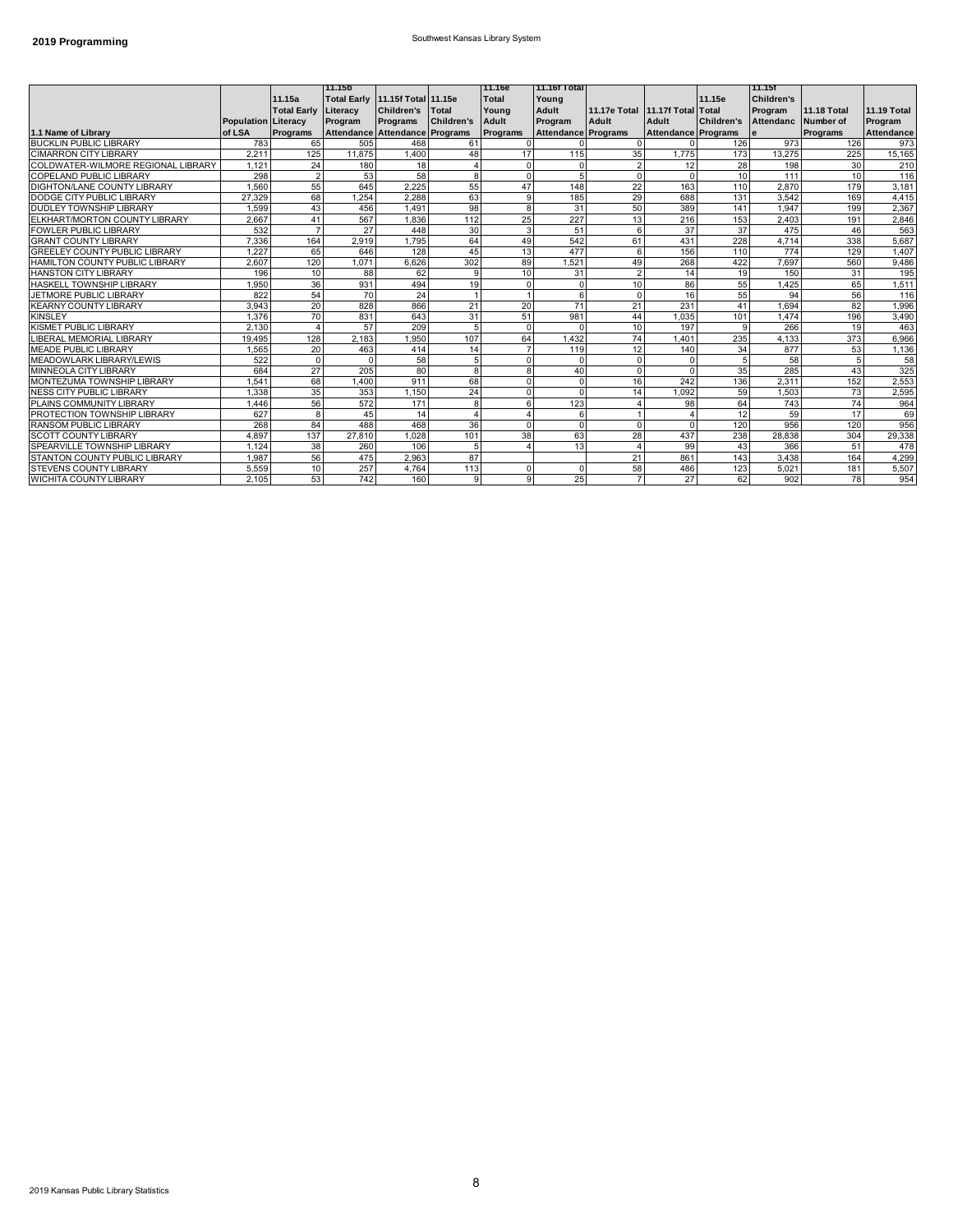# **2019 Programming 2019 Programming Southwest Kansas Library System**

|                                       |                            |                        | l11.15b                         |                   |                   | 11.16e       | <b>11.16f Total</b>        |                                 |                     |                   | l 11.15f          |                    |                    |
|---------------------------------------|----------------------------|------------------------|---------------------------------|-------------------|-------------------|--------------|----------------------------|---------------------------------|---------------------|-------------------|-------------------|--------------------|--------------------|
|                                       |                            | 11.15a                 | Total Early 11.15f Total 11.15e |                   |                   | <b>Total</b> | Young                      |                                 |                     | 11.15e            | <b>Children's</b> |                    |                    |
|                                       |                            | <b>Total Early</b>     | Literacy                        | <b>Children's</b> | Total             | Young        | Adult                      | 11.17e Total 11.17f Total Total |                     |                   | Program           | <b>11.18 Total</b> | <b>11.19 Total</b> |
|                                       | <b>Population Literacy</b> |                        | Program                         | Programs          | <b>Children's</b> | Adult        | Program                    | Adult                           | Adult               | <b>Children's</b> | Attendanc         | Number of          | Program            |
| 1.1 Name of Library                   | of LSA                     | <b>Programs</b>        | Attendance Attendance Programs  |                   |                   | Programs     | <b>Attendance Programs</b> |                                 | Attendance Programs |                   | e                 | Programs           | <b>Attendance</b>  |
| <b>BUCKLIN PUBLIC LIBRARY</b>         | 783                        | 65                     | 505                             | 468               | 61                |              |                            |                                 |                     | 126               | 973               | 126                | 973                |
| <b>CIMARRON CITY LIBRARY</b>          | 2.211                      | 125                    | 11.875                          | 1.400             | 48                | 17           | 115                        | 35                              | 1.775               | 173               | 13.275            | 225                | 15,165             |
| COLDWATER-WILMORE REGIONAL LIBRARY    | 1.121                      | 24                     | 180                             | 18                | $\Delta$          |              | 0                          |                                 | 12                  | 28                | 198               | 30 <sup>1</sup>    | 210                |
| COPELAND PUBLIC LIBRARY               | 298                        | $\overline{2}$         | 53                              | 58                | 8                 | $\Omega$     | 5                          | $\Omega$                        |                     | 10                | 111               | 10 <sup>1</sup>    | 116                |
| DIGHTON/LANE COUNTY LIBRARY           | 1.560                      | 55                     | 645                             | 2.225             | 55                | 47           | 148                        | 22                              | 163                 | 110               | 2,870             | 179                | 3,181              |
| DODGE CITY PUBLIC LIBRARY             | 27.329                     | 68                     | .254                            | 2.288             | 63                | g            | 185                        | 29                              | 688                 | 131               | 3,542             | 169                | 4,415              |
| DUDLEY TOWNSHIP LIBRARY               | 1,599                      | 43                     | 456                             | 1,491             | 98                | 8            | 31                         | 50                              | 389                 | 141               | 1,947             | 199                | 2,367              |
| ELKHART/MORTON COUNTY LIBRARY         | 2.667                      | 41                     | 567                             | 1.836             | 112               | 25           | 227                        | 13                              | 216                 | 153               | 2.403             | 191                | 2,846              |
| FOWLER PUBLIC LIBRARY                 | 532                        | 7                      | 27                              | 448               | 30                | 3            | 51                         | 6                               | 37                  | 37                | 475               | 46                 | 563                |
| <b>GRANT COUNTY LIBRARY</b>           | 7.336                      | 164                    | 2.919                           | 1.795             | 64                | 49           | 542                        | 61                              | 431                 | 228               | 4.714             | 338                | 5,687              |
| <b>GREELEY COUNTY PUBLIC LIBRARY</b>  | 1.227                      | 65                     | 646                             | 128               | 45                | 13           | 477                        | 6                               | 156                 | 110               | 774               | 129                | 1,407              |
| <b>HAMILTON COUNTY PUBLIC LIBRARY</b> | 2.607                      | 120                    | 1.071                           | 6.626             | 302               | 89           | 1.521                      | 49                              | 268                 | 422               | 7,697             | 560                | 9,486              |
| <b>HANSTON CITY LIBRARY</b>           | 196                        | 10                     | 88                              | 62                | 9                 | 10           | 31                         |                                 | 14                  | 19                | 150               | 31                 | 195                |
| HASKELL TOWNSHIP LIBRARY              | 1.950                      | 36                     | 931                             | 494               | 19                |              | $\mathbf 0$                | 10                              | 86                  | 55                | 1,425             | 65                 | 1,511              |
| <b>JETMORE PUBLIC LIBRARY</b>         | 822                        | 54                     | 70                              | 24                |                   |              | 6                          |                                 | 16                  | 55                | 94                | 56                 | 116                |
| <b>KEARNY COUNTY LIBRARY</b>          | 3.943                      | 20                     | 828                             | 866               | 21                | 20           | 71                         | 21                              | 231                 | 41                | 1.694             | 82                 | 1,996              |
| <b>KINSLEY</b>                        | 1.376                      | 70                     | 831                             | 643               | 31                | 51           | 981                        | 44                              | 1.035               | 101               | 1.474             | 196                | 3,490              |
| KISMET PUBLIC LIBRARY                 | 2,130                      | $\boldsymbol{\Lambda}$ | 57                              | 209               | 5                 |              | $\Omega$                   | 10                              | 197                 | 9                 | 266               | 19                 | 463                |
| LIBERAL MEMORIAL LIBRARY              | 19.495                     | 128                    | 2.183                           | 1,950             | 107               | 64           | 1,432                      | 74                              | 1.401               | 235               | 4,133             | 373                | 6,966              |
| <b>MEADE PUBLIC LIBRARY</b>           | 1,565                      | 20                     | 463                             | 414               | 14                |              | 119                        | 12                              | 140                 | 34                | 877               | 53                 | 1,136              |
| <b>MEADOWLARK LIBRARY/LEWIS</b>       | 522                        | $\Omega$               | $\Omega$                        | 58                | 5                 |              | $\Omega$                   |                                 |                     |                   | 58                | 5                  | 58                 |
| <b>MINNEOLA CITY LIBRARY</b>          | 684                        | 27                     | 205                             | 80                | 8                 | 8            | 40                         |                                 |                     | 35                | 285               | 43                 | 325                |
| MONTEZUMA TOWNSHIP LIBRARY            | .541                       | 68                     | 1.400                           | 911               | 68                | U            | $\Omega$                   | 16                              | 242                 | 136               | 2,311             | 152                | 2,553              |
| <b>NESS CITY PUBLIC LIBRARY</b>       | 1.338                      | 35                     | 353                             | 1.150             | 24                | <sup>n</sup> | $\Omega$                   | 14                              | 1.092               | 59                | 1.503             | 73                 | 2,595              |
| PLAINS COMMUNITY LIBRARY              | 1.446                      | 56                     | 572                             | 171               | 8                 | ĥ            | 123                        |                                 | 98                  | 64                | 743               | 74                 | 964                |
| PROTECTION TOWNSHIP LIBRARY           | 627                        | 8                      | 45                              | 14                | $\Delta$          |              | 6                          |                                 |                     | 12                | 59                | 17                 | 69                 |
| RANSOM PUBLIC LIBRARY                 | 268                        | 84                     | 488                             | 468               | 36                |              | $\Omega$                   | $\Omega$                        |                     | 120               | 956               | 120                | 956                |
| <b>SCOTT COUNTY LIBRARY</b>           | 4.897                      | 137                    | 27,810                          | 1.028             | 101               | 38           | 63                         | 28                              | 437                 | 238               | 28.838            | 304                | 29,338             |
| SPEARVILLE TOWNSHIP LIBRARY           | 1.124                      | 38                     | 260                             | 106               | 5                 |              | 13                         |                                 | 99                  | 43                | 366               | 51                 | 478                |
| STANTON COUNTY PUBLIC LIBRARY         | 1.987                      | 56                     | 475                             | 2,963             | 87                |              |                            | 21                              | 861                 | 143               | 3.438             | 164                | 4,299              |
| <b>STEVENS COUNTY LIBRARY</b>         | 5.559                      | 10                     | 257                             | 4.764             | 113               |              | $\Omega$                   | 58                              | 486                 | 123               | 5.021             | 181                | 5,507              |
| <b>WICHITA COUNTY LIBRARY</b>         | 2.105                      | 53                     | 742                             | 160               | 9                 | 9            | 25                         |                                 | 27                  | 62                | 902               | 78                 | 954                |